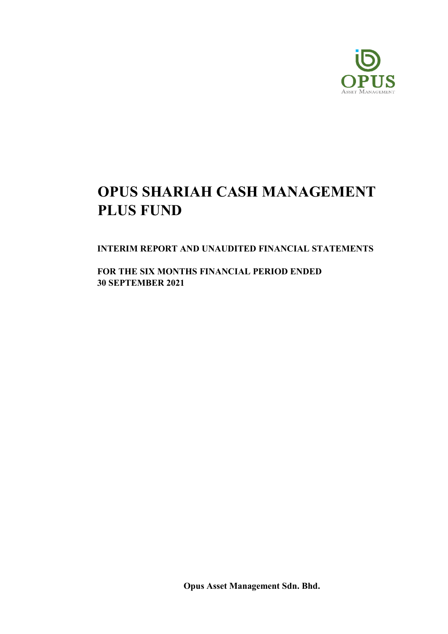

INTERIM REPORT AND UNAUDITED FINANCIAL STATEMENTS

FOR THE SIX MONTHS FINANCIAL PERIOD ENDED 30 SEPTEMBER 2021

Opus Asset Management Sdn. Bhd.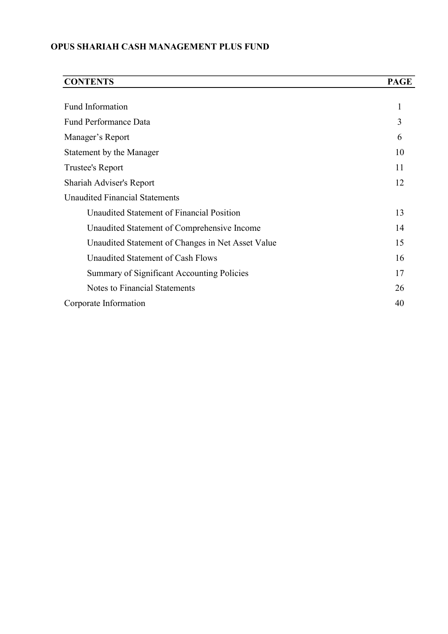| <b>CONTENTS</b>                                   | <b>PAGE</b> |
|---------------------------------------------------|-------------|
|                                                   |             |
| Fund Information                                  |             |
| <b>Fund Performance Data</b>                      | 3           |
| Manager's Report                                  | 6           |
| Statement by the Manager                          | 10          |
| Trustee's Report                                  | 11          |
| Shariah Adviser's Report                          | 12          |
| <b>Unaudited Financial Statements</b>             |             |
| Unaudited Statement of Financial Position         | 13          |
| Unaudited Statement of Comprehensive Income       | 14          |
| Unaudited Statement of Changes in Net Asset Value | 15          |
| Unaudited Statement of Cash Flows                 | 16          |
| <b>Summary of Significant Accounting Policies</b> | 17          |
| <b>Notes to Financial Statements</b>              | 26          |
| Corporate Information                             | 40          |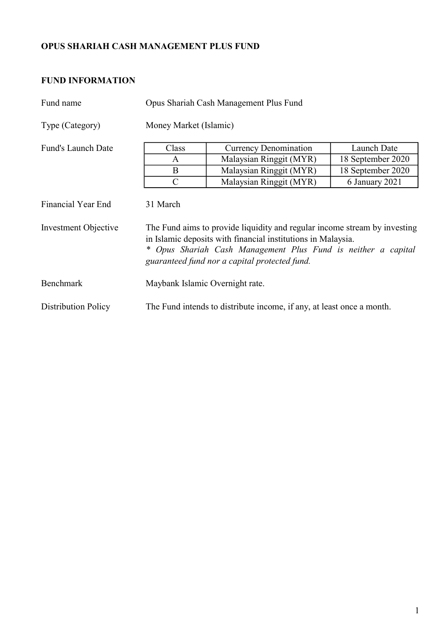## FUND INFORMATION

| Fund name                                         | Opus Shariah Cash Management Plus Fund |                                                                                                                                                                                                                                                             |                   |  |  |  |  |  |  |
|---------------------------------------------------|----------------------------------------|-------------------------------------------------------------------------------------------------------------------------------------------------------------------------------------------------------------------------------------------------------------|-------------------|--|--|--|--|--|--|
| Type (Category)                                   |                                        | Money Market (Islamic)                                                                                                                                                                                                                                      |                   |  |  |  |  |  |  |
| <b>Fund's Launch Date</b>                         | Class                                  | <b>Currency Denomination</b>                                                                                                                                                                                                                                | Launch Date       |  |  |  |  |  |  |
|                                                   | A                                      | Malaysian Ringgit (MYR)                                                                                                                                                                                                                                     | 18 September 2020 |  |  |  |  |  |  |
|                                                   | B                                      | Malaysian Ringgit (MYR)                                                                                                                                                                                                                                     | 18 September 2020 |  |  |  |  |  |  |
|                                                   | $\mathbf C$                            | Malaysian Ringgit (MYR)                                                                                                                                                                                                                                     | 6 January 2021    |  |  |  |  |  |  |
| <b>Financial Year End</b><br>Investment Objective | 31 March                               | The Fund aims to provide liquidity and regular income stream by investing<br>in Islamic deposits with financial institutions in Malaysia.<br>* Opus Shariah Cash Management Plus Fund is neither a capital<br>guaranteed fund nor a capital protected fund. |                   |  |  |  |  |  |  |
| Benchmark                                         | Maybank Islamic Overnight rate.        |                                                                                                                                                                                                                                                             |                   |  |  |  |  |  |  |
| <b>Distribution Policy</b>                        |                                        | The Fund intends to distribute income, if any, at least once a month.                                                                                                                                                                                       |                   |  |  |  |  |  |  |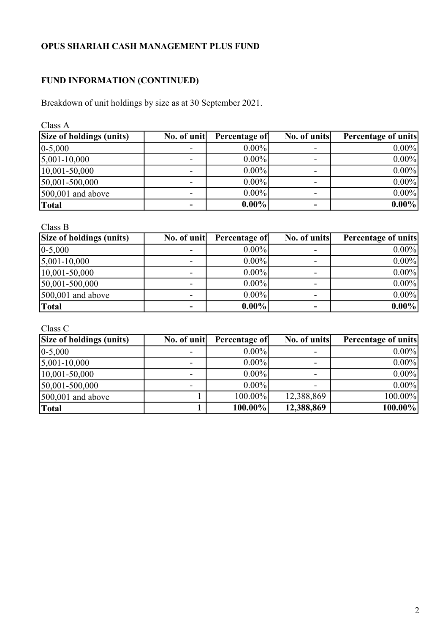## FUND INFORMATION (CONTINUED)

Breakdown of unit holdings by size as at 30 September 2021.

Class A

| Size of holdings (units) | No. of unit | Percentage of | No. of units             | <b>Percentage of units</b> |
|--------------------------|-------------|---------------|--------------------------|----------------------------|
| $ 0-5,000 $              |             | $0.00\%$      | ۰                        | $0.00\%$                   |
| $5,001-10,000$           |             | $0.00\%$      |                          | $0.00\%$                   |
| $ 10,001 - 50,000 $      |             | $0.00\%$      | ۰                        | $0.00\%$                   |
| $50,001-500,000$         |             | $0.00\%$      |                          | $0.00\%$                   |
| $500,001$ and above      |             | $0.00\%$      |                          | $0.00\%$                   |
| Total                    | -           | $0.00\%$      | $\overline{\phantom{0}}$ | $0.00\%$                   |

Class B

| <b>Size of holdings (units)</b> | No. of unit | Percentage of | No. of units | <b>Percentage of units</b> |
|---------------------------------|-------------|---------------|--------------|----------------------------|
| $0 - 5,000$                     |             | $0.00\%$      |              | $0.00\%$                   |
| $5,001-10,000$                  |             | $0.00\%$      | -            | $0.00\%$                   |
| $ 10,001 - 50,000 $             |             | $0.00\%$      | -            | $0.00\%$                   |
| 50,001-500,000                  |             | $0.00\%$      | -            | $0.00\%$                   |
| $\vert 500,001 \vert$ and above |             | $0.00\%$      | -            | $0.00\%$                   |
| <b>Total</b>                    |             | $0.00\%$      | ۰            | $0.00\%$                   |

Class C

| <b>Size of holdings (units)</b> | No. of unit | Percentage of | No. of units | <b>Percentage of units</b> |
|---------------------------------|-------------|---------------|--------------|----------------------------|
| $ 0-5,000 $                     |             | $0.00\%$      | -            | $0.00\%$                   |
| $5,001-10,000$                  |             | $0.00\%$      | ۰.           | $0.00\%$                   |
| $ 10,001 - 50,000 $             |             | $0.00\%$      | -            | $0.00\%$                   |
| $50,001-500,000$                |             | $0.00\%$      | -            | $0.00\%$                   |
| $\vert 500,001 \vert$ and above |             | 100.00%       | 12,388,869   | $100.00\%$                 |
| Total                           |             | $100.00\%$    | 12,388,869   | $100.00\%$                 |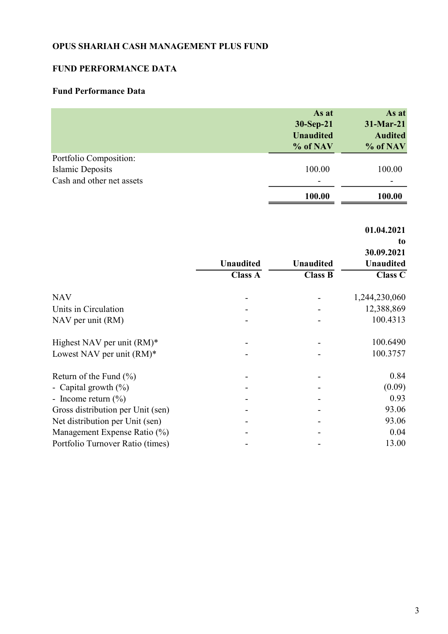## FUND PERFORMANCE DATA

## Fund Performance Data

|                           | As at<br>30-Sep-21<br><b>Unaudited</b><br>% of NAV | As at<br>31-Mar-21<br><b>Audited</b><br>% of NAV |
|---------------------------|----------------------------------------------------|--------------------------------------------------|
| Portfolio Composition:    |                                                    |                                                  |
| Islamic Deposits          | 100.00                                             | 100.00                                           |
| Cash and other net assets | $\overline{\phantom{0}}$                           | -                                                |
|                           | 100.00                                             | 100.00                                           |

to

|                                   |                  |                  | 30.09.2021       |
|-----------------------------------|------------------|------------------|------------------|
|                                   | <b>Unaudited</b> | <b>Unaudited</b> | <b>Unaudited</b> |
|                                   | <b>Class A</b>   | <b>Class B</b>   | <b>Class C</b>   |
| <b>NAV</b>                        |                  |                  | 1,244,230,060    |
| Units in Circulation              |                  |                  | 12,388,869       |
| NAV per unit (RM)                 |                  |                  | 100.4313         |
| Highest NAV per unit $(RM)^*$     |                  |                  | 100.6490         |
| Lowest NAV per unit $(RM)^*$      |                  |                  | 100.3757         |
| Return of the Fund $(\% )$        |                  |                  | 0.84             |
| - Capital growth $(\%)$           |                  |                  | (0.09)           |
| - Income return $(\% )$           |                  |                  | 0.93             |
| Gross distribution per Unit (sen) |                  |                  | 93.06            |
| Net distribution per Unit (sen)   |                  |                  | 93.06            |
| Management Expense Ratio (%)      |                  |                  | 0.04             |
| Portfolio Turnover Ratio (times)  |                  |                  | 13.00            |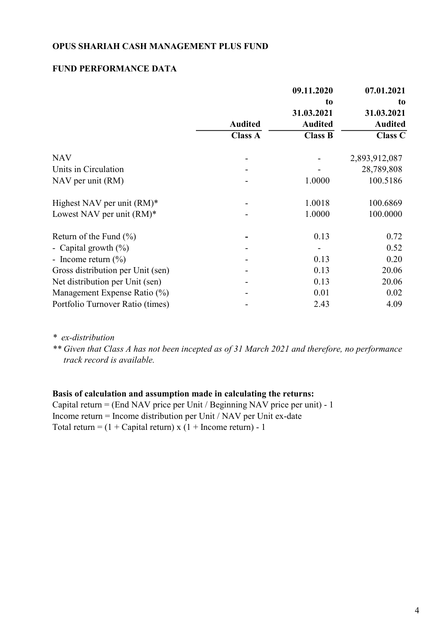#### FUND PERFORMANCE DATA

|                                   |                | 09.11.2020     | 07.01.2021     |
|-----------------------------------|----------------|----------------|----------------|
|                                   |                | to             | to             |
|                                   |                | 31.03.2021     | 31.03.2021     |
|                                   | <b>Audited</b> | <b>Audited</b> | <b>Audited</b> |
|                                   | <b>Class A</b> | <b>Class B</b> | <b>Class C</b> |
| <b>NAV</b>                        |                |                | 2,893,912,087  |
| Units in Circulation              |                |                | 28,789,808     |
| NAV per unit (RM)                 |                | 1.0000         | 100.5186       |
| Highest NAV per unit $(RM)^*$     |                | 1.0018         | 100.6869       |
| Lowest NAV per unit $(RM)^*$      |                | 1.0000         | 100.0000       |
| Return of the Fund $(\% )$        |                | 0.13           | 0.72           |
| - Capital growth $(\%)$           |                |                | 0.52           |
| - Income return $(\%)$            |                | 0.13           | 0.20           |
| Gross distribution per Unit (sen) |                | 0.13           | 20.06          |
| Net distribution per Unit (sen)   |                | 0.13           | 20.06          |
| Management Expense Ratio (%)      |                | 0.01           | 0.02           |
| Portfolio Turnover Ratio (times)  |                | 2.43           | 4.09           |

\* ex-distribution

\*\* Given that Class A has not been incepted as of 31 March 2021 and therefore, no performance track record is available.

#### Basis of calculation and assumption made in calculating the returns:

Capital return = (End NAV price per Unit / Beginning NAV price per unit) - 1 Income return = Income distribution per Unit / NAV per Unit ex-date Total return =  $(1 +$ Capital return) x  $(1 +$ Income return) - 1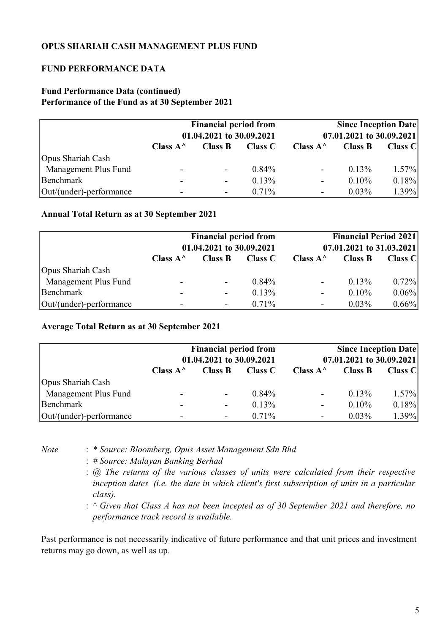## FUND PERFORMANCE DATA

#### Fund Performance Data (continued) Performance of the Fund as at 30 September 2021

|                         | <b>Financial period from</b><br>01.04.2021 to 30.09.2021 |                          |                |                    | <b>Since Inception Date</b><br>07.01.2021 to 30.09.2021 |                |
|-------------------------|----------------------------------------------------------|--------------------------|----------------|--------------------|---------------------------------------------------------|----------------|
|                         | Class $A^{\wedge}$                                       | <b>Class B</b>           | <b>Class C</b> | Class $A^{\wedge}$ | <b>Class B</b>                                          | <b>Class C</b> |
| Opus Shariah Cash       |                                                          |                          |                |                    |                                                         |                |
| Management Plus Fund    |                                                          | $\overline{\phantom{a}}$ | $0.84\%$       | -                  | 0.13%                                                   | $1.57\%$       |
| Benchmark               |                                                          | $\blacksquare$           | $0.13\%$       | -                  | $0.10\%$                                                | 0.18%          |
| Out/(under)-performance |                                                          | $\blacksquare$           | $0.71\%$       |                    | $0.03\%$                                                | 1.39%          |

#### Annual Total Return as at 30 September 2021

|                         | <b>Financial period from</b><br>01.04.2021 to 30.09.2021 |                          |                |                    | <b>Financial Period 2021</b><br>07.01.2021 to 31.03.2021 |                |
|-------------------------|----------------------------------------------------------|--------------------------|----------------|--------------------|----------------------------------------------------------|----------------|
|                         | Class $A^{\wedge}$                                       | <b>Class B</b>           | <b>Class C</b> | Class $A^{\wedge}$ | <b>Class B</b>                                           | <b>Class C</b> |
| Opus Shariah Cash       |                                                          |                          |                |                    |                                                          |                |
| Management Plus Fund    |                                                          | $\blacksquare$           | $0.84\%$       | $\blacksquare$     | $0.13\%$                                                 | 0.72%          |
| Benchmark               |                                                          |                          | 0.13%          | $\sim$             | $0.10\%$                                                 | 0.06%          |
| Out/(under)-performance |                                                          | $\overline{\phantom{a}}$ | $0.71\%$       |                    | $0.03\%$                                                 | $0.66\%$       |

#### Average Total Return as at 30 September 2021

|                         | <b>Financial period from</b><br>01.04.2021 to 30.09.2021 |                          |          |                    | <b>Since Inception Date</b><br>07.01.2021 to 30.09.2021 |                |
|-------------------------|----------------------------------------------------------|--------------------------|----------|--------------------|---------------------------------------------------------|----------------|
|                         | Class $A^{\wedge}$                                       | <b>Class B</b>           | Class C  | Class $A^{\wedge}$ | <b>Class B</b>                                          | <b>Class C</b> |
| Opus Shariah Cash       |                                                          |                          |          |                    |                                                         |                |
| Management Plus Fund    | -                                                        | $\sim$                   | 0.84%    | ۰.                 | 0.13%                                                   | $1.57\%$       |
| Benchmark               |                                                          | $\overline{\phantom{a}}$ | 0.13%    | ۰.                 | $0.10\%$                                                | 0.18%          |
| Out/(under)-performance |                                                          |                          | $0.71\%$ |                    | $0.03\%$                                                | 1.39%          |

- Note : \* Source: Bloomberg, Opus Asset Management Sdn Bhd
	- : # Source: Malayan Banking Berhad
	- : @ The returns of the various classes of units were calculated from their respective inception dates (i.e. the date in which client's first subscription of units in a particular class).
	- :  $\wedge$  Given that Class A has not been incepted as of 30 September 2021 and therefore, no performance track record is available.

Past performance is not necessarily indicative of future performance and that unit prices and investment returns may go down, as well as up.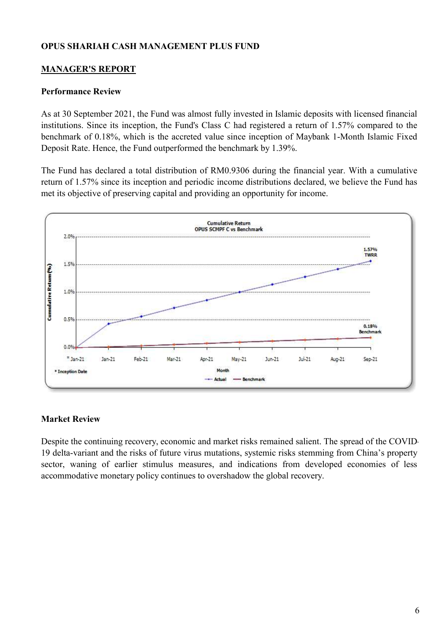## MANAGER'S REPORT

#### Performance Review

As at 30 September 2021, the Fund was almost fully invested in Islamic deposits with licensed financial institutions. Since its inception, the Fund's Class C had registered a return of 1.57% compared to the benchmark of 0.18%, which is the accreted value since inception of Maybank 1-Month Islamic Fixed Deposit Rate. Hence, the Fund outperformed the benchmark by 1.39%.

The Fund has declared a total distribution of RM0.9306 during the financial year. With a cumulative return of 1.57% since its inception and periodic income distributions declared, we believe the Fund has met its objective of preserving capital and providing an opportunity for income.



#### Market Review

Despite the continuing recovery, economic and market risks remained salient. The spread of the COVID-19 delta-variant and the risks of future virus mutations, systemic risks stemming from China's property sector, waning of earlier stimulus measures, and indications from developed economies of less accommodative monetary policy continues to overshadow the global recovery.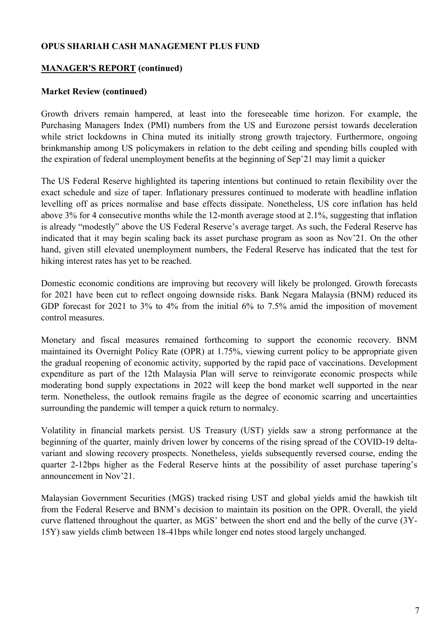#### MANAGER'S REPORT (continued)

#### Market Review (continued)

Growth drivers remain hampered, at least into the foreseeable time horizon. For example, the Purchasing Managers Index (PMI) numbers from the US and Eurozone persist towards deceleration while strict lockdowns in China muted its initially strong growth trajectory. Furthermore, ongoing brinkmanship among US policymakers in relation to the debt ceiling and spending bills coupled with the expiration of federal unemployment benefits at the beginning of Sep'21 may limit a quicker

The US Federal Reserve highlighted its tapering intentions but continued to retain flexibility over the exact schedule and size of taper. Inflationary pressures continued to moderate with headline inflation levelling off as prices normalise and base effects dissipate. Nonetheless, US core inflation has held above 3% for 4 consecutive months while the 12-month average stood at 2.1%, suggesting that inflation is already "modestly" above the US Federal Reserve's average target. As such, the Federal Reserve has indicated that it may begin scaling back its asset purchase program as soon as Nov'21. On the other hand, given still elevated unemployment numbers, the Federal Reserve has indicated that the test for hiking interest rates has yet to be reached.

Domestic economic conditions are improving but recovery will likely be prolonged. Growth forecasts for 2021 have been cut to reflect ongoing downside risks. Bank Negara Malaysia (BNM) reduced its GDP forecast for 2021 to 3% to 4% from the initial 6% to 7.5% amid the imposition of movement control measures.

Monetary and fiscal measures remained forthcoming to support the economic recovery. BNM maintained its Overnight Policy Rate (OPR) at 1.75%, viewing current policy to be appropriate given the gradual reopening of economic activity, supported by the rapid pace of vaccinations. Development expenditure as part of the 12th Malaysia Plan will serve to reinvigorate economic prospects while moderating bond supply expectations in 2022 will keep the bond market well supported in the near term. Nonetheless, the outlook remains fragile as the degree of economic scarring and uncertainties surrounding the pandemic will temper a quick return to normalcy.

Volatility in financial markets persist. US Treasury (UST) yields saw a strong performance at the beginning of the quarter, mainly driven lower by concerns of the rising spread of the COVID-19 deltavariant and slowing recovery prospects. Nonetheless, yields subsequently reversed course, ending the quarter 2-12bps higher as the Federal Reserve hints at the possibility of asset purchase tapering's announcement in Nov'21.

Malaysian Government Securities (MGS) tracked rising UST and global yields amid the hawkish tilt from the Federal Reserve and BNM's decision to maintain its position on the OPR. Overall, the yield curve flattened throughout the quarter, as MGS' between the short end and the belly of the curve (3Y-15Y) saw yields climb between 18-41bps while longer end notes stood largely unchanged.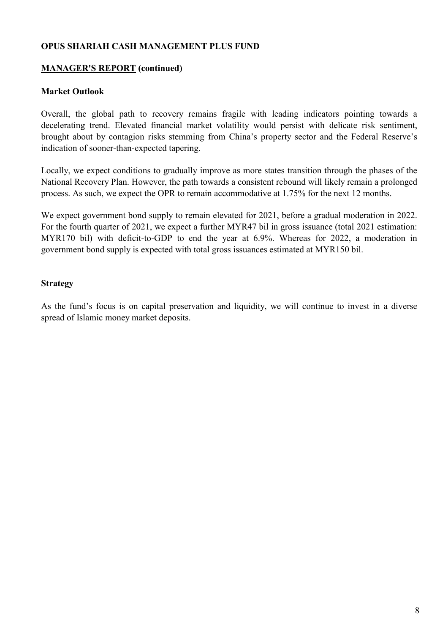## MANAGER'S REPORT (continued)

#### Market Outlook

Overall, the global path to recovery remains fragile with leading indicators pointing towards a decelerating trend. Elevated financial market volatility would persist with delicate risk sentiment, brought about by contagion risks stemming from China's property sector and the Federal Reserve's indication of sooner-than-expected tapering.

Locally, we expect conditions to gradually improve as more states transition through the phases of the National Recovery Plan. However, the path towards a consistent rebound will likely remain a prolonged process. As such, we expect the OPR to remain accommodative at 1.75% for the next 12 months.

We expect government bond supply to remain elevated for 2021, before a gradual moderation in 2022. For the fourth quarter of 2021, we expect a further MYR47 bil in gross issuance (total 2021 estimation: MYR170 bil) with deficit-to-GDP to end the year at 6.9%. Whereas for 2022, a moderation in government bond supply is expected with total gross issuances estimated at MYR150 bil.

#### Strategy

As the fund's focus is on capital preservation and liquidity, we will continue to invest in a diverse spread of Islamic money market deposits.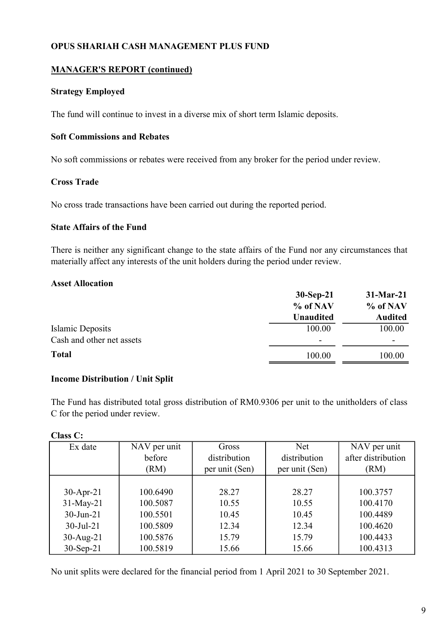## MANAGER'S REPORT (continued)

#### Strategy Employed

The fund will continue to invest in a diverse mix of short term Islamic deposits.

## Soft Commissions and Rebates

No soft commissions or rebates were received from any broker for the period under review.

#### Cross Trade

No cross trade transactions have been carried out during the reported period.

#### State Affairs of the Fund

There is neither any significant change to the state affairs of the Fund nor any circumstances that materially affect any interests of the unit holders during the period under review.

#### Asset Allocation

|                           | $30-Sep-21$              | $31-Mar-21$    |
|---------------------------|--------------------------|----------------|
|                           | % of NAV                 | % of NAV       |
|                           | <b>Unaudited</b>         | <b>Audited</b> |
| Islamic Deposits          | 100.00                   | 100.00         |
| Cash and other net assets | $\overline{\phantom{0}}$ |                |
| <b>Total</b>              | 100.00                   | 100.00         |

#### Income Distribution / Unit Split

The Fund has distributed total gross distribution of RM0.9306 per unit to the unitholders of class C for the period under review.

Class C:

| Ex date          | NAV per unit | Gross          | <b>Net</b>     | NAV per unit       |
|------------------|--------------|----------------|----------------|--------------------|
|                  | before       | distribution   | distribution   | after distribution |
|                  | (RM)         | per unit (Sen) | per unit (Sen) | (RM)               |
|                  |              |                |                |                    |
| $30-Apr-21$      | 100.6490     | 28.27          | 28.27          | 100.3757           |
| $31$ -May-21     | 100.5087     | 10.55          | 10.55          | 100.4170           |
| $30 - Jun - 21$  | 100.5501     | 10.45          | 10.45          | 100.4489           |
| $30 -$ Jul $-21$ | 100.5809     | 12.34          | 12.34          | 100.4620           |
| $30-Aug-21$      | 100.5876     | 15.79          | 15.79          | 100.4433           |
| $30-Sep-21$      | 100.5819     | 15.66          | 15.66          | 100.4313           |

No unit splits were declared for the financial period from 1 April 2021 to 30 September 2021.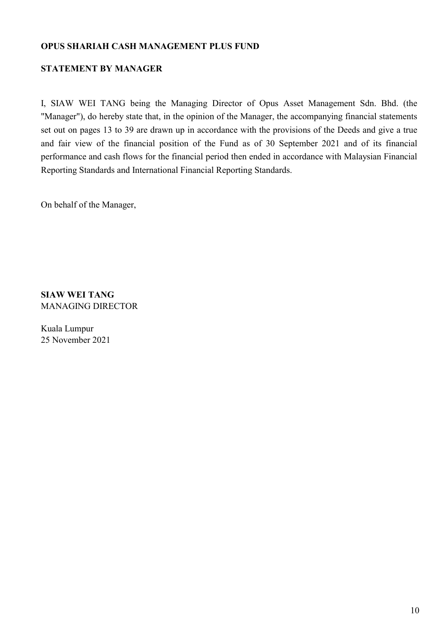## STATEMENT BY MANAGER

I, SIAW WEI TANG being the Managing Director of Opus Asset Management Sdn. Bhd. (the "Manager"), do hereby state that, in the opinion of the Manager, the accompanying financial statements set out on pages 13 to 39 are drawn up in accordance with the provisions of the Deeds and give a true and fair view of the financial position of the Fund as of 30 September 2021 and of its financial performance and cash flows for the financial period then ended in accordance with Malaysian Financial Reporting Standards and International Financial Reporting Standards.

On behalf of the Manager,

SIAW WEI TANG MANAGING DIRECTOR

Kuala Lumpur 25 November 2021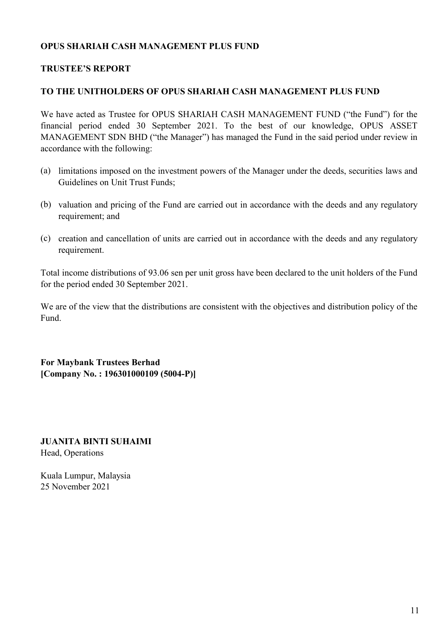### TRUSTEE'S REPORT

#### TO THE UNITHOLDERS OF OPUS SHARIAH CASH MANAGEMENT PLUS FUND

We have acted as Trustee for OPUS SHARIAH CASH MANAGEMENT FUND ("the Fund") for the financial period ended 30 September 2021. To the best of our knowledge, OPUS ASSET MANAGEMENT SDN BHD ("the Manager") has managed the Fund in the said period under review in accordance with the following:

- (a) limitations imposed on the investment powers of the Manager under the deeds, securities laws and Guidelines on Unit Trust Funds;
- (b) valuation and pricing of the Fund are carried out in accordance with the deeds and any regulatory requirement; and
- (c) creation and cancellation of units are carried out in accordance with the deeds and any regulatory requirement.

Total income distributions of 93.06 sen per unit gross have been declared to the unit holders of the Fund for the period ended 30 September 2021.

We are of the view that the distributions are consistent with the objectives and distribution policy of the Fund.

For Maybank Trustees Berhad [Company No. : 196301000109 (5004-P)]

JUANITA BINTI SUHAIMI Head, Operations

Kuala Lumpur, Malaysia 25 November 2021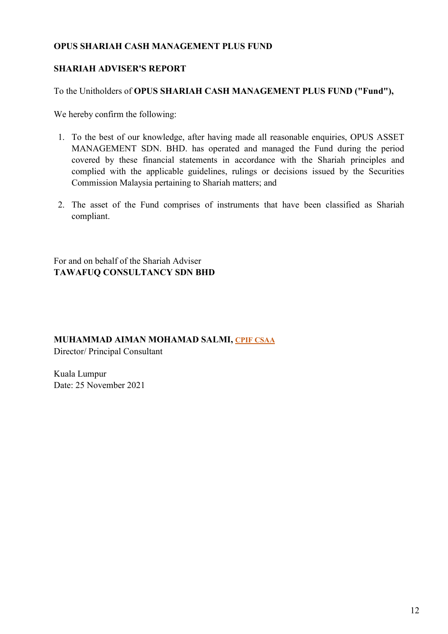## SHARIAH ADVISER'S REPORT

To the Unitholders of OPUS SHARIAH CASH MANAGEMENT PLUS FUND ("Fund"),

We hereby confirm the following:

- 1. To the best of our knowledge, after having made all reasonable enquiries, OPUS ASSET MANAGEMENT SDN. BHD. has operated and managed the Fund during the period covered by these financial statements in accordance with the Shariah principles and complied with the applicable guidelines, rulings or decisions issued by the Securities Commission Malaysia pertaining to Shariah matters; and
- 2. The asset of the Fund comprises of instruments that have been classified as Shariah compliant.

For and on behalf of the Shariah Adviser TAWAFUQ CONSULTANCY SDN BHD

#### MUHAMMAD AIMAN MOHAMAD SALMI, CPIF CSAA

Director/ Principal Consultant

Kuala Lumpur Date: 25 November 2021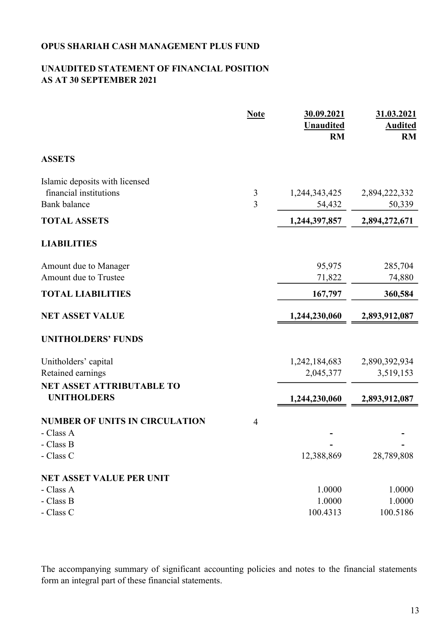## UNAUDITED STATEMENT OF FINANCIAL POSITION AS AT 30 SEPTEMBER 2021

|                                                          | <b>Note</b>    | 30.09.2021<br><b>Unaudited</b><br><b>RM</b> | 31.03.2021<br><b>Audited</b><br><b>RM</b> |
|----------------------------------------------------------|----------------|---------------------------------------------|-------------------------------------------|
| <b>ASSETS</b>                                            |                |                                             |                                           |
| Islamic deposits with licensed<br>financial institutions | $\mathfrak{Z}$ | 1,244,343,425                               | 2,894,222,332                             |
| <b>Bank</b> balance                                      | 3              | 54,432                                      | 50,339                                    |
| <b>TOTAL ASSETS</b>                                      |                | 1,244,397,857                               | 2,894,272,671                             |
| <b>LIABILITIES</b>                                       |                |                                             |                                           |
| Amount due to Manager                                    |                | 95,975                                      | 285,704                                   |
| Amount due to Trustee                                    |                | 71,822                                      | 74,880                                    |
| <b>TOTAL LIABILITIES</b>                                 |                | 167,797                                     | 360,584                                   |
| <b>NET ASSET VALUE</b>                                   |                | 1,244,230,060                               | 2,893,912,087                             |
| <b>UNITHOLDERS' FUNDS</b>                                |                |                                             |                                           |
| Unitholders' capital                                     |                | 1,242,184,683                               | 2,890,392,934                             |
| Retained earnings                                        |                | 2,045,377                                   | 3,519,153                                 |
| <b>NET ASSET ATTRIBUTABLE TO</b><br><b>UNITHOLDERS</b>   |                | 1,244,230,060                               | 2,893,912,087                             |
| <b>NUMBER OF UNITS IN CIRCULATION</b>                    | $\overline{4}$ |                                             |                                           |
| - Class A                                                |                |                                             |                                           |
| - Class B                                                |                |                                             |                                           |
| - Class C                                                |                | 12,388,869                                  | 28,789,808                                |
| <b>NET ASSET VALUE PER UNIT</b>                          |                |                                             |                                           |
| - Class A                                                |                | 1.0000                                      | 1.0000                                    |
| - Class B                                                |                | 1.0000                                      | 1.0000                                    |
| - Class C                                                |                | 100.4313                                    | 100.5186                                  |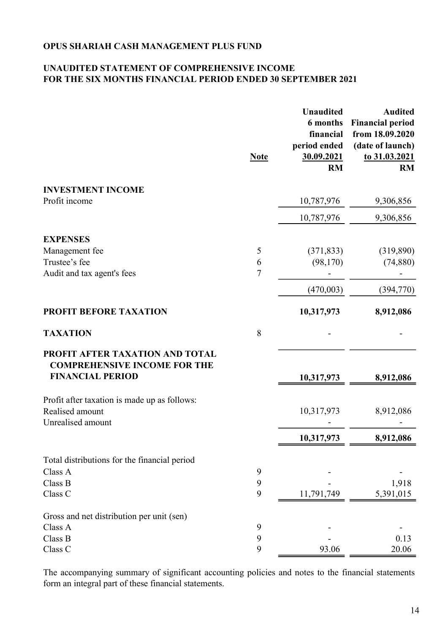## UNAUDITED STATEMENT OF COMPREHENSIVE INCOME FOR THE SIX MONTHS FINANCIAL PERIOD ENDED 30 SEPTEMBER 2021

|                                                                                                   | <b>Note</b>    | <b>Unaudited</b><br><b>6 months</b><br>financial<br>period ended<br>30.09.2021<br><b>RM</b> | <b>Audited</b><br><b>Financial period</b><br>from 18.09.2020<br>(date of launch)<br>to 31.03.2021<br><b>RM</b> |
|---------------------------------------------------------------------------------------------------|----------------|---------------------------------------------------------------------------------------------|----------------------------------------------------------------------------------------------------------------|
| <b>INVESTMENT INCOME</b>                                                                          |                |                                                                                             |                                                                                                                |
| Profit income                                                                                     |                | 10,787,976                                                                                  | 9,306,856                                                                                                      |
|                                                                                                   |                | 10,787,976                                                                                  | 9,306,856                                                                                                      |
| <b>EXPENSES</b>                                                                                   |                |                                                                                             |                                                                                                                |
| Management fee                                                                                    | 5              | (371, 833)                                                                                  | (319,890)                                                                                                      |
| Trustee's fee                                                                                     | 6              | (98,170)                                                                                    | (74,880)                                                                                                       |
| Audit and tax agent's fees                                                                        | $\overline{7}$ |                                                                                             |                                                                                                                |
|                                                                                                   |                | (470,003)                                                                                   | (394,770)                                                                                                      |
| PROFIT BEFORE TAXATION                                                                            |                | 10,317,973                                                                                  | 8,912,086                                                                                                      |
| <b>TAXATION</b>                                                                                   | 8              |                                                                                             |                                                                                                                |
| PROFIT AFTER TAXATION AND TOTAL<br><b>COMPREHENSIVE INCOME FOR THE</b><br><b>FINANCIAL PERIOD</b> |                | 10,317,973                                                                                  | 8,912,086                                                                                                      |
| Profit after taxation is made up as follows:                                                      |                |                                                                                             |                                                                                                                |
| Realised amount                                                                                   |                | 10,317,973                                                                                  | 8,912,086                                                                                                      |
| Unrealised amount                                                                                 |                |                                                                                             |                                                                                                                |
|                                                                                                   |                | 10,317,973                                                                                  | 8,912,086                                                                                                      |
| Total distributions for the financial period                                                      |                |                                                                                             |                                                                                                                |
| Class A                                                                                           | 9              |                                                                                             |                                                                                                                |
| Class B                                                                                           | 9              |                                                                                             | 1,918                                                                                                          |
| Class C                                                                                           | 9              | 11,791,749                                                                                  | 5,391,015                                                                                                      |
| Gross and net distribution per unit (sen)                                                         |                |                                                                                             |                                                                                                                |
| Class A                                                                                           | 9              |                                                                                             |                                                                                                                |
| Class B                                                                                           | 9              |                                                                                             | 0.13                                                                                                           |
| Class C                                                                                           | 9              | 93.06                                                                                       | 20.06                                                                                                          |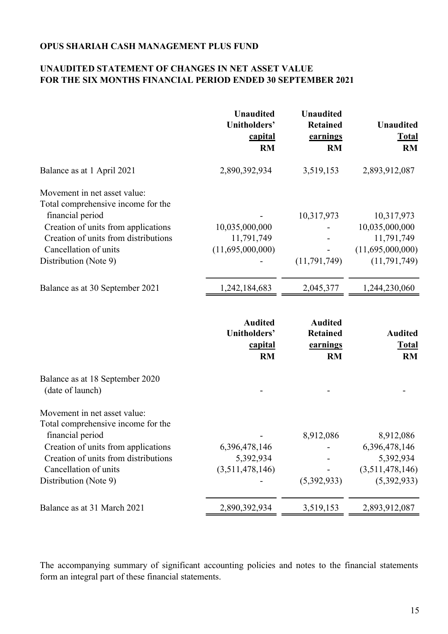## UNAUDITED STATEMENT OF CHANGES IN NET ASSET VALUE FOR THE SIX MONTHS FINANCIAL PERIOD ENDED 30 SEPTEMBER 2021

|                                                                    | <b>Unaudited</b><br>Unitholders'<br>capital<br><b>RM</b> | <b>Unaudited</b><br><b>Retained</b><br>earnings<br><b>RM</b> | <b>Unaudited</b><br><b>Total</b><br><b>RM</b> |
|--------------------------------------------------------------------|----------------------------------------------------------|--------------------------------------------------------------|-----------------------------------------------|
| Balance as at 1 April 2021                                         | 2,890,392,934                                            | 3,519,153                                                    | 2,893,912,087                                 |
| Movement in net asset value:<br>Total comprehensive income for the |                                                          |                                                              |                                               |
| financial period                                                   |                                                          | 10,317,973                                                   | 10,317,973                                    |
| Creation of units from applications                                | 10,035,000,000                                           |                                                              | 10,035,000,000                                |
| Creation of units from distributions                               | 11,791,749                                               |                                                              | 11,791,749                                    |
| Cancellation of units                                              | (11,695,000,000)                                         |                                                              | (11,695,000,000)                              |
| Distribution (Note 9)                                              |                                                          | (11, 791, 749)                                               | (11, 791, 749)                                |
| Balance as at 30 September 2021                                    | 1,242,184,683                                            | 2,045,377                                                    | 1,244,230,060                                 |
|                                                                    | <b>Audited</b><br>Unitholders'<br>capital<br><b>RM</b>   | <b>Audited</b><br><b>Retained</b><br>earnings<br><b>RM</b>   | <b>Audited</b><br><b>Total</b><br><b>RM</b>   |
| Balance as at 18 September 2020                                    |                                                          |                                                              |                                               |
| (date of launch)                                                   |                                                          |                                                              |                                               |
| Movement in net asset value:<br>Total comprehensive income for the |                                                          |                                                              |                                               |
| financial period                                                   |                                                          | 8,912,086                                                    | 8,912,086                                     |
| Creation of units from applications                                | 6,396,478,146                                            |                                                              | 6,396,478,146                                 |
| Creation of units from distributions                               | 5,392,934                                                |                                                              | 5,392,934                                     |
| Cancellation of units                                              | (3,511,478,146)                                          |                                                              | (3,511,478,146)                               |
| Distribution (Note 9)                                              |                                                          | (5,392,933)                                                  | (5,392,933)                                   |
|                                                                    |                                                          |                                                              |                                               |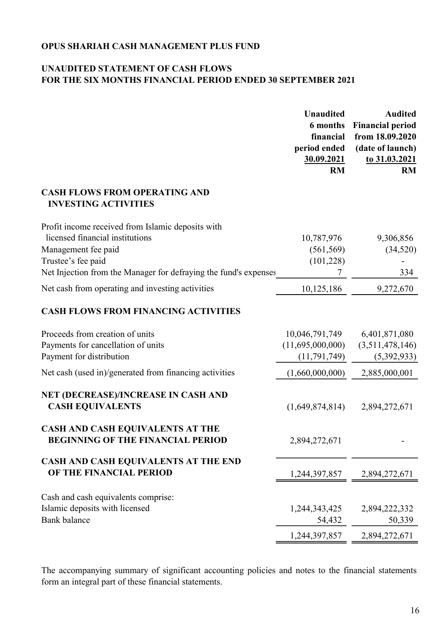## UNAUDITED STATEMENT OF CASH FLOWS FOR THE SIX MONTHS FINANCIAL PERIOD ENDED 30 SEPTEMBER 2021

|                                                                              | <b>Unaudited</b><br>6 months<br>financial<br>period ended<br>30.09.2021<br><b>RM</b> | <b>Audited</b><br><b>Financial period</b><br>from 18.09.2020<br>(date of launch)<br>to 31.03.2021<br><b>RM</b> |
|------------------------------------------------------------------------------|--------------------------------------------------------------------------------------|----------------------------------------------------------------------------------------------------------------|
| <b>CASH FLOWS FROM OPERATING AND</b><br><b>INVESTING ACTIVITIES</b>          |                                                                                      |                                                                                                                |
| Profit income received from Islamic deposits with                            |                                                                                      |                                                                                                                |
| licensed financial institutions                                              | 10,787,976                                                                           | 9,306,856                                                                                                      |
| Management fee paid                                                          | (561, 569)                                                                           | (34,520)                                                                                                       |
| Trustee's fee paid                                                           | (101, 228)                                                                           |                                                                                                                |
| Net Injection from the Manager for defraying the fund's expenses             | 7                                                                                    | 334                                                                                                            |
| Net cash from operating and investing activities                             | 10,125,186                                                                           | 9,272,670                                                                                                      |
| <b>CASH FLOWS FROM FINANCING ACTIVITIES</b>                                  |                                                                                      |                                                                                                                |
| Proceeds from creation of units                                              | 10,046,791,749                                                                       | 6,401,871,080                                                                                                  |
| Payments for cancellation of units                                           | (11,695,000,000)                                                                     | (3,511,478,146)                                                                                                |
| Payment for distribution                                                     | (11, 791, 749)                                                                       | (5,392,933)                                                                                                    |
| Net cash (used in)/generated from financing activities                       | (1,660,000,000)                                                                      | 2,885,000,001                                                                                                  |
| NET (DECREASE)/INCREASE IN CASH AND<br><b>CASH EQUIVALENTS</b>               | (1,649,874,814)                                                                      | 2,894,272,671                                                                                                  |
| CASH AND CASH EQUIVALENTS AT THE<br><b>BEGINNING OF THE FINANCIAL PERIOD</b> | 2,894,272,671                                                                        |                                                                                                                |
| CASH AND CASH EQUIVALENTS AT THE END<br>OF THE FINANCIAL PERIOD              | 1,244,397,857                                                                        | 2,894,272,671                                                                                                  |
| Cash and cash equivalents comprise:                                          |                                                                                      |                                                                                                                |
| Islamic deposits with licensed                                               | 1,244,343,425                                                                        | 2,894,222,332                                                                                                  |
| <b>Bank</b> balance                                                          | 54,432                                                                               | 50,339                                                                                                         |
|                                                                              | 1,244,397,857                                                                        | 2,894,272,671                                                                                                  |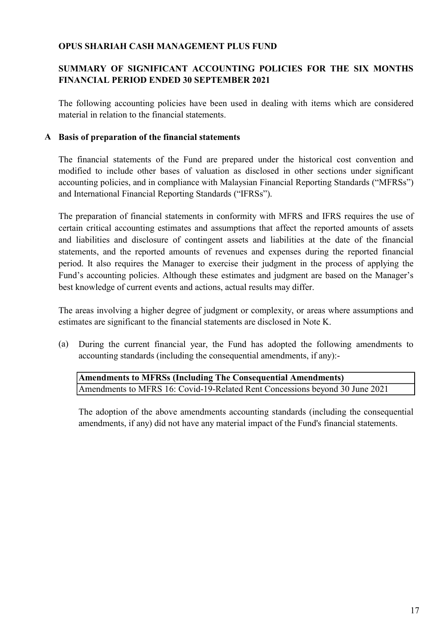## SUMMARY OF SIGNIFICANT ACCOUNTING POLICIES FOR THE SIX MONTHS FINANCIAL PERIOD ENDED 30 SEPTEMBER 2021

The following accounting policies have been used in dealing with items which are considered material in relation to the financial statements.

#### A Basis of preparation of the financial statements

The financial statements of the Fund are prepared under the historical cost convention and modified to include other bases of valuation as disclosed in other sections under significant accounting policies, and in compliance with Malaysian Financial Reporting Standards ("MFRSs") and International Financial Reporting Standards ("IFRSs").

The preparation of financial statements in conformity with MFRS and IFRS requires the use of certain critical accounting estimates and assumptions that affect the reported amounts of assets and liabilities and disclosure of contingent assets and liabilities at the date of the financial statements, and the reported amounts of revenues and expenses during the reported financial period. It also requires the Manager to exercise their judgment in the process of applying the Fund's accounting policies. Although these estimates and judgment are based on the Manager's best knowledge of current events and actions, actual results may differ.

The areas involving a higher degree of judgment or complexity, or areas where assumptions and estimates are significant to the financial statements are disclosed in Note K.

(a) During the current financial year, the Fund has adopted the following amendments to accounting standards (including the consequential amendments, if any):-

## Amendments to MFRS 16: Covid-19-Related Rent Concessions beyond 30 June 2021 Amendments to MFRSs (Including The Consequential Amendments)

The adoption of the above amendments accounting standards (including the consequential amendments, if any) did not have any material impact of the Fund's financial statements.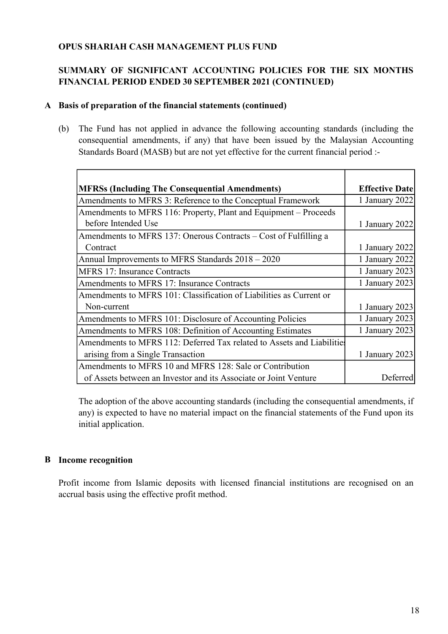## SUMMARY OF SIGNIFICANT ACCOUNTING POLICIES FOR THE SIX MONTHS FINANCIAL PERIOD ENDED 30 SEPTEMBER 2021 (CONTINUED)

#### A Basis of preparation of the financial statements (continued)

(b) The Fund has not applied in advance the following accounting standards (including the consequential amendments, if any) that have been issued by the Malaysian Accounting Standards Board (MASB) but are not yet effective for the current financial period :-

| <b>MFRSs (Including The Consequential Amendments)</b>                  | <b>Effective Date</b> |
|------------------------------------------------------------------------|-----------------------|
| Amendments to MFRS 3: Reference to the Conceptual Framework            | 1 January 2022        |
| Amendments to MFRS 116: Property, Plant and Equipment – Proceeds       |                       |
| before Intended Use                                                    | 1 January 2022        |
| Amendments to MFRS 137: Onerous Contracts – Cost of Fulfilling a       |                       |
| Contract                                                               | 1 January 2022        |
| Annual Improvements to MFRS Standards 2018 - 2020                      | 1 January 2022        |
| <b>MFRS 17: Insurance Contracts</b>                                    | 1 January 2023        |
| Amendments to MFRS 17: Insurance Contracts                             | 1 January 2023        |
| Amendments to MFRS 101: Classification of Liabilities as Current or    |                       |
| Non-current                                                            | 1 January 2023        |
| Amendments to MFRS 101: Disclosure of Accounting Policies              | 1 January 2023        |
| Amendments to MFRS 108: Definition of Accounting Estimates             | 1 January 2023        |
| Amendments to MFRS 112: Deferred Tax related to Assets and Liabilities |                       |
| arising from a Single Transaction                                      | 1 January 2023        |
| Amendments to MFRS 10 and MFRS 128: Sale or Contribution               |                       |
| of Assets between an Investor and its Associate or Joint Venture       | Deferred              |

The adoption of the above accounting standards (including the consequential amendments, if any) is expected to have no material impact on the financial statements of the Fund upon its initial application.

## B Income recognition

Profit income from Islamic deposits with licensed financial institutions are recognised on an accrual basis using the effective profit method.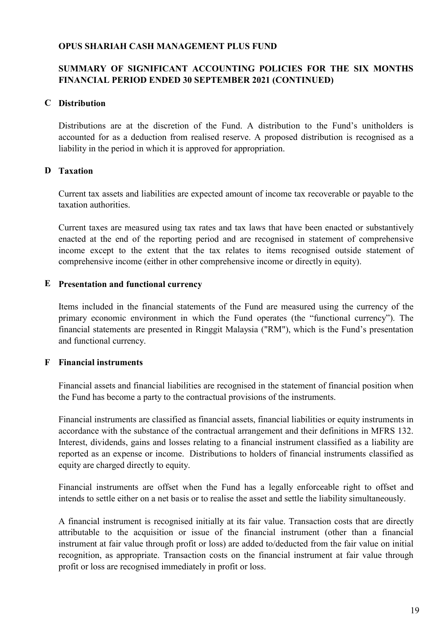## SUMMARY OF SIGNIFICANT ACCOUNTING POLICIES FOR THE SIX MONTHS FINANCIAL PERIOD ENDED 30 SEPTEMBER 2021 (CONTINUED)

#### C Distribution

Distributions are at the discretion of the Fund. A distribution to the Fund's unitholders is accounted for as a deduction from realised reserve. A proposed distribution is recognised as a liability in the period in which it is approved for appropriation.

## D Taxation

Current tax assets and liabilities are expected amount of income tax recoverable or payable to the taxation authorities.

Current taxes are measured using tax rates and tax laws that have been enacted or substantively enacted at the end of the reporting period and are recognised in statement of comprehensive income except to the extent that the tax relates to items recognised outside statement of comprehensive income (either in other comprehensive income or directly in equity).

#### E Presentation and functional currency

Items included in the financial statements of the Fund are measured using the currency of the primary economic environment in which the Fund operates (the "functional currency"). The financial statements are presented in Ringgit Malaysia ("RM"), which is the Fund's presentation and functional currency.

#### F Financial instruments

Financial assets and financial liabilities are recognised in the statement of financial position when the Fund has become a party to the contractual provisions of the instruments.

Financial instruments are classified as financial assets, financial liabilities or equity instruments in accordance with the substance of the contractual arrangement and their definitions in MFRS 132. Interest, dividends, gains and losses relating to a financial instrument classified as a liability are reported as an expense or income. Distributions to holders of financial instruments classified as equity are charged directly to equity.

Financial instruments are offset when the Fund has a legally enforceable right to offset and intends to settle either on a net basis or to realise the asset and settle the liability simultaneously.

A financial instrument is recognised initially at its fair value. Transaction costs that are directly attributable to the acquisition or issue of the financial instrument (other than a financial instrument at fair value through profit or loss) are added to/deducted from the fair value on initial recognition, as appropriate. Transaction costs on the financial instrument at fair value through profit or loss are recognised immediately in profit or loss.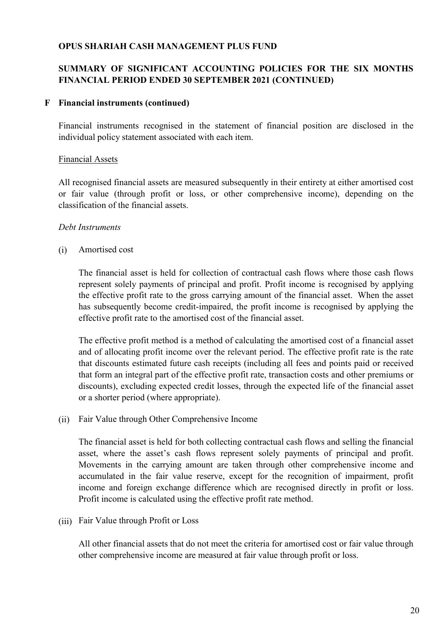## SUMMARY OF SIGNIFICANT ACCOUNTING POLICIES FOR THE SIX MONTHS FINANCIAL PERIOD ENDED 30 SEPTEMBER 2021 (CONTINUED)

#### F Financial instruments (continued)

Financial instruments recognised in the statement of financial position are disclosed in the individual policy statement associated with each item.

#### Financial Assets

All recognised financial assets are measured subsequently in their entirety at either amortised cost or fair value (through profit or loss, or other comprehensive income), depending on the classification of the financial assets.

#### Debt Instruments

(i) Amortised cost

The financial asset is held for collection of contractual cash flows where those cash flows represent solely payments of principal and profit. Profit income is recognised by applying the effective profit rate to the gross carrying amount of the financial asset. When the asset has subsequently become credit-impaired, the profit income is recognised by applying the effective profit rate to the amortised cost of the financial asset.

The effective profit method is a method of calculating the amortised cost of a financial asset and of allocating profit income over the relevant period. The effective profit rate is the rate that discounts estimated future cash receipts (including all fees and points paid or received that form an integral part of the effective profit rate, transaction costs and other premiums or discounts), excluding expected credit losses, through the expected life of the financial asset or a shorter period (where appropriate).

(ii) Fair Value through Other Comprehensive Income

The financial asset is held for both collecting contractual cash flows and selling the financial asset, where the asset's cash flows represent solely payments of principal and profit. Movements in the carrying amount are taken through other comprehensive income and accumulated in the fair value reserve, except for the recognition of impairment, profit income and foreign exchange difference which are recognised directly in profit or loss. Profit income is calculated using the effective profit rate method.

(iii) Fair Value through Profit or Loss

All other financial assets that do not meet the criteria for amortised cost or fair value through other comprehensive income are measured at fair value through profit or loss.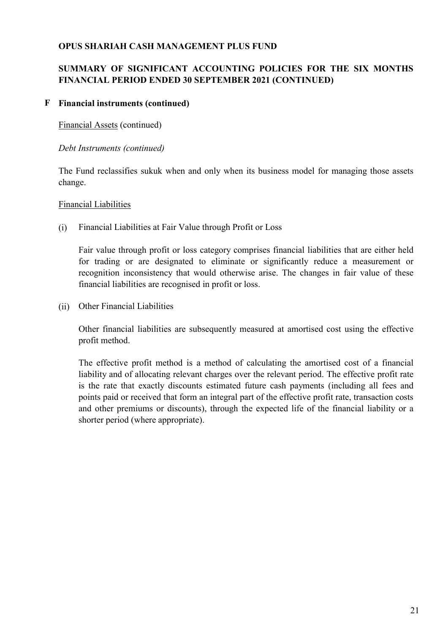## SUMMARY OF SIGNIFICANT ACCOUNTING POLICIES FOR THE SIX MONTHS FINANCIAL PERIOD ENDED 30 SEPTEMBER 2021 (CONTINUED)

## F Financial instruments (continued)

Financial Assets (continued)

#### Debt Instruments (continued)

The Fund reclassifies sukuk when and only when its business model for managing those assets change.

#### Financial Liabilities

(i) Financial Liabilities at Fair Value through Profit or Loss

Fair value through profit or loss category comprises financial liabilities that are either held for trading or are designated to eliminate or significantly reduce a measurement or recognition inconsistency that would otherwise arise. The changes in fair value of these financial liabilities are recognised in profit or loss.

(ii) Other Financial Liabilities

Other financial liabilities are subsequently measured at amortised cost using the effective profit method.

The effective profit method is a method of calculating the amortised cost of a financial liability and of allocating relevant charges over the relevant period. The effective profit rate is the rate that exactly discounts estimated future cash payments (including all fees and points paid or received that form an integral part of the effective profit rate, transaction costs and other premiums or discounts), through the expected life of the financial liability or a shorter period (where appropriate).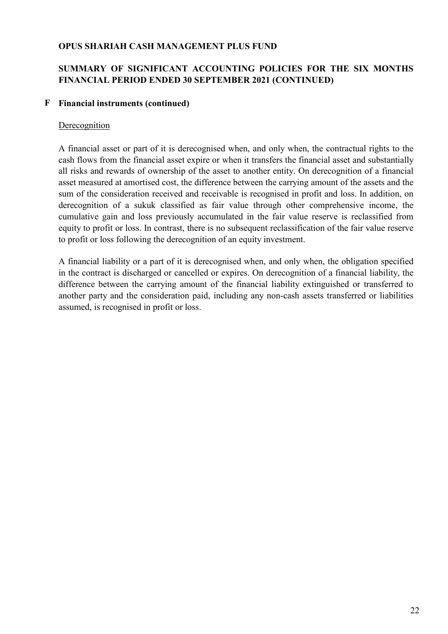## SUMMARY OF SIGNIFICANT ACCOUNTING POLICIES FOR THE SIX MONTHS FINANCIAL PERIOD ENDED 30 SEPTEMBER 2021 (CONTINUED)

#### F Financial instruments (continued)

#### Derecognition

A financial asset or part of it is derecognised when, and only when, the contractual rights to the cash flows from the financial asset expire or when it transfers the financial asset and substantially all risks and rewards of ownership of the asset to another entity. On derecognition of a financial asset measured at amortised cost, the difference between the carrying amount of the assets and the sum of the consideration received and receivable is recognised in profit and loss. In addition, on derecognition of a sukuk classified as fair value through other comprehensive income, the cumulative gain and loss previously accumulated in the fair value reserve is reclassified from equity to profit or loss. In contrast, there is no subsequent reclassification of the fair value reserve to profit or loss following the derecognition of an equity investment.

A financial liability or a part of it is derecognised when, and only when, the obligation specified in the contract is discharged or cancelled or expires. On derecognition of a financial liability, the difference between the carrying amount of the financial liability extinguished or transferred to another party and the consideration paid, including any non-cash assets transferred or liabilities assumed, is recognised in profit or loss.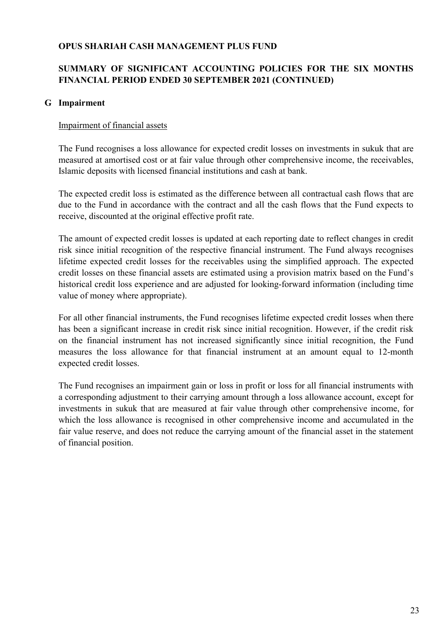## SUMMARY OF SIGNIFICANT ACCOUNTING POLICIES FOR THE SIX MONTHS FINANCIAL PERIOD ENDED 30 SEPTEMBER 2021 (CONTINUED)

#### G Impairment

#### Impairment of financial assets

The Fund recognises a loss allowance for expected credit losses on investments in sukuk that are measured at amortised cost or at fair value through other comprehensive income, the receivables, Islamic deposits with licensed financial institutions and cash at bank.

The expected credit loss is estimated as the difference between all contractual cash flows that are due to the Fund in accordance with the contract and all the cash flows that the Fund expects to receive, discounted at the original effective profit rate.

The amount of expected credit losses is updated at each reporting date to reflect changes in credit risk since initial recognition of the respective financial instrument. The Fund always recognises lifetime expected credit losses for the receivables using the simplified approach. The expected credit losses on these financial assets are estimated using a provision matrix based on the Fund's historical credit loss experience and are adjusted for looking-forward information (including time value of money where appropriate).

For all other financial instruments, the Fund recognises lifetime expected credit losses when there has been a significant increase in credit risk since initial recognition. However, if the credit risk on the financial instrument has not increased significantly since initial recognition, the Fund measures the loss allowance for that financial instrument at an amount equal to 12-month expected credit losses.

The Fund recognises an impairment gain or loss in profit or loss for all financial instruments with a corresponding adjustment to their carrying amount through a loss allowance account, except for investments in sukuk that are measured at fair value through other comprehensive income, for which the loss allowance is recognised in other comprehensive income and accumulated in the fair value reserve, and does not reduce the carrying amount of the financial asset in the statement of financial position.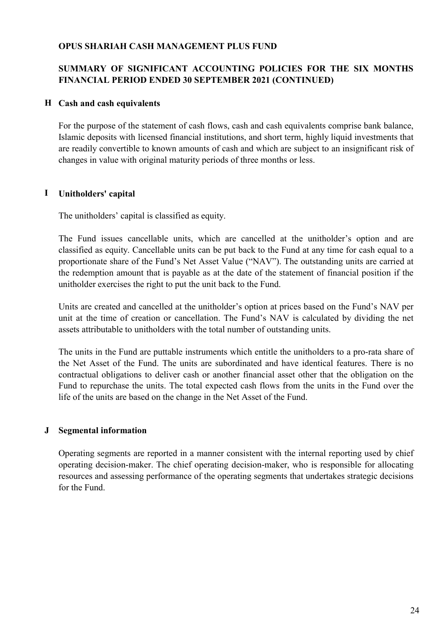## SUMMARY OF SIGNIFICANT ACCOUNTING POLICIES FOR THE SIX MONTHS FINANCIAL PERIOD ENDED 30 SEPTEMBER 2021 (CONTINUED)

#### H Cash and cash equivalents

For the purpose of the statement of cash flows, cash and cash equivalents comprise bank balance, Islamic deposits with licensed financial institutions, and short term, highly liquid investments that are readily convertible to known amounts of cash and which are subject to an insignificant risk of changes in value with original maturity periods of three months or less.

#### I Unitholders' capital

The unitholders' capital is classified as equity.

The Fund issues cancellable units, which are cancelled at the unitholder's option and are classified as equity. Cancellable units can be put back to the Fund at any time for cash equal to a proportionate share of the Fund's Net Asset Value ("NAV"). The outstanding units are carried at the redemption amount that is payable as at the date of the statement of financial position if the unitholder exercises the right to put the unit back to the Fund.

Units are created and cancelled at the unitholder's option at prices based on the Fund's NAV per unit at the time of creation or cancellation. The Fund's NAV is calculated by dividing the net assets attributable to unitholders with the total number of outstanding units.

The units in the Fund are puttable instruments which entitle the unitholders to a pro-rata share of the Net Asset of the Fund. The units are subordinated and have identical features. There is no contractual obligations to deliver cash or another financial asset other that the obligation on the Fund to repurchase the units. The total expected cash flows from the units in the Fund over the life of the units are based on the change in the Net Asset of the Fund.

#### J Segmental information

Operating segments are reported in a manner consistent with the internal reporting used by chief operating decision-maker. The chief operating decision-maker, who is responsible for allocating resources and assessing performance of the operating segments that undertakes strategic decisions for the Fund.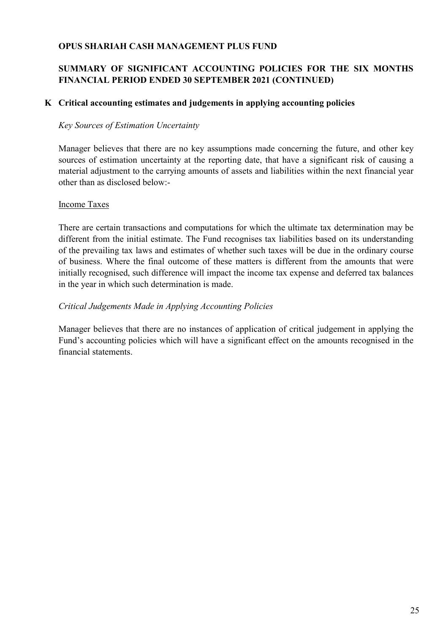## SUMMARY OF SIGNIFICANT ACCOUNTING POLICIES FOR THE SIX MONTHS FINANCIAL PERIOD ENDED 30 SEPTEMBER 2021 (CONTINUED)

#### K Critical accounting estimates and judgements in applying accounting policies

#### Key Sources of Estimation Uncertainty

Manager believes that there are no key assumptions made concerning the future, and other key sources of estimation uncertainty at the reporting date, that have a significant risk of causing a material adjustment to the carrying amounts of assets and liabilities within the next financial year other than as disclosed below:-

#### Income Taxes

There are certain transactions and computations for which the ultimate tax determination may be different from the initial estimate. The Fund recognises tax liabilities based on its understanding of the prevailing tax laws and estimates of whether such taxes will be due in the ordinary course of business. Where the final outcome of these matters is different from the amounts that were initially recognised, such difference will impact the income tax expense and deferred tax balances in the year in which such determination is made.

#### Critical Judgements Made in Applying Accounting Policies

Manager believes that there are no instances of application of critical judgement in applying the Fund's accounting policies which will have a significant effect on the amounts recognised in the financial statements.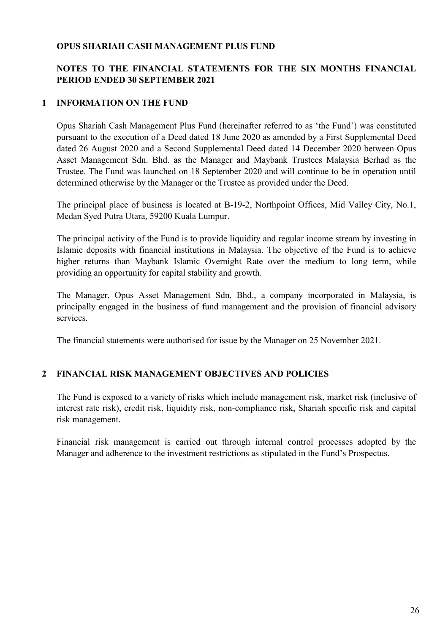## NOTES TO THE FINANCIAL STATEMENTS FOR THE SIX MONTHS FINANCIAL PERIOD ENDED 30 SEPTEMBER 2021

## 1 INFORMATION ON THE FUND

Opus Shariah Cash Management Plus Fund (hereinafter referred to as 'the Fund') was constituted pursuant to the execution of a Deed dated 18 June 2020 as amended by a First Supplemental Deed dated 26 August 2020 and a Second Supplemental Deed dated 14 December 2020 between Opus Asset Management Sdn. Bhd. as the Manager and Maybank Trustees Malaysia Berhad as the Trustee. The Fund was launched on 18 September 2020 and will continue to be in operation until determined otherwise by the Manager or the Trustee as provided under the Deed.

The principal place of business is located at B-19-2, Northpoint Offices, Mid Valley City, No.1, Medan Syed Putra Utara, 59200 Kuala Lumpur.

The principal activity of the Fund is to provide liquidity and regular income stream by investing in Islamic deposits with financial institutions in Malaysia. The objective of the Fund is to achieve higher returns than Maybank Islamic Overnight Rate over the medium to long term, while providing an opportunity for capital stability and growth.

The Manager, Opus Asset Management Sdn. Bhd., a company incorporated in Malaysia, is principally engaged in the business of fund management and the provision of financial advisory services.

The financial statements were authorised for issue by the Manager on 25 November 2021.

#### 2 FINANCIAL RISK MANAGEMENT OBJECTIVES AND POLICIES

The Fund is exposed to a variety of risks which include management risk, market risk (inclusive of interest rate risk), credit risk, liquidity risk, non-compliance risk, Shariah specific risk and capital risk management.

Financial risk management is carried out through internal control processes adopted by the Manager and adherence to the investment restrictions as stipulated in the Fund's Prospectus.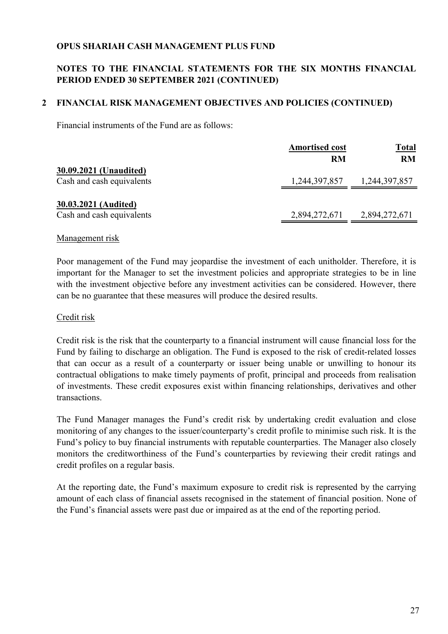## NOTES TO THE FINANCIAL STATEMENTS FOR THE SIX MONTHS FINANCIAL PERIOD ENDED 30 SEPTEMBER 2021 (CONTINUED)

## 2 FINANCIAL RISK MANAGEMENT OBJECTIVES AND POLICIES (CONTINUED)

Financial instruments of the Fund are as follows:

|                                                     | <b>Amortised cost</b> | <b>Total</b>  |
|-----------------------------------------------------|-----------------------|---------------|
|                                                     | <b>RM</b>             | <b>RM</b>     |
| 30.09.2021 (Unaudited)<br>Cash and cash equivalents | 1,244,397,857         | 1,244,397,857 |
| 30.03.2021 (Audited)<br>Cash and cash equivalents   | 2,894,272,671         | 2,894,272,671 |

#### Management risk

Poor management of the Fund may jeopardise the investment of each unitholder. Therefore, it is important for the Manager to set the investment policies and appropriate strategies to be in line with the investment objective before any investment activities can be considered. However, there can be no guarantee that these measures will produce the desired results.

#### Credit risk

Credit risk is the risk that the counterparty to a financial instrument will cause financial loss for the Fund by failing to discharge an obligation. The Fund is exposed to the risk of credit-related losses that can occur as a result of a counterparty or issuer being unable or unwilling to honour its contractual obligations to make timely payments of profit, principal and proceeds from realisation of investments. These credit exposures exist within financing relationships, derivatives and other transactions.

The Fund Manager manages the Fund's credit risk by undertaking credit evaluation and close monitoring of any changes to the issuer/counterparty's credit profile to minimise such risk. It is the Fund's policy to buy financial instruments with reputable counterparties. The Manager also closely monitors the creditworthiness of the Fund's counterparties by reviewing their credit ratings and credit profiles on a regular basis.

At the reporting date, the Fund's maximum exposure to credit risk is represented by the carrying amount of each class of financial assets recognised in the statement of financial position. None of the Fund's financial assets were past due or impaired as at the end of the reporting period.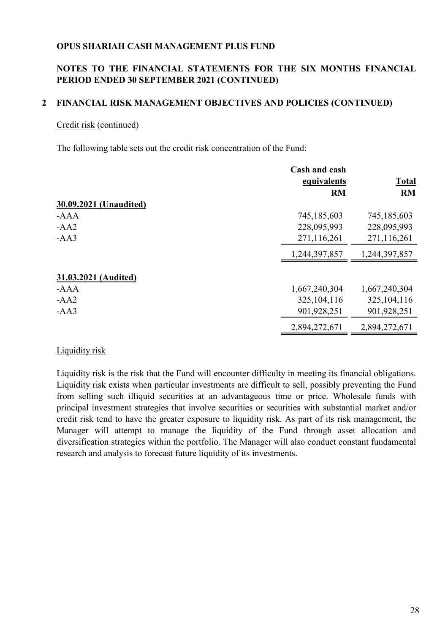## NOTES TO THE FINANCIAL STATEMENTS FOR THE SIX MONTHS FINANCIAL PERIOD ENDED 30 SEPTEMBER 2021 (CONTINUED)

#### 2 FINANCIAL RISK MANAGEMENT OBJECTIVES AND POLICIES (CONTINUED)

#### Credit risk (continued)

The following table sets out the credit risk concentration of the Fund:

|                        | Cash and cash<br>equivalents | <b>Total</b>  |
|------------------------|------------------------------|---------------|
|                        | <b>RM</b>                    | RM            |
| 30.09.2021 (Unaudited) |                              |               |
| $-AAA$                 | 745,185,603                  | 745,185,603   |
| $-AA2$                 | 228,095,993                  | 228,095,993   |
| $-AA3$                 | 271,116,261                  | 271,116,261   |
|                        | 1,244,397,857                | 1,244,397,857 |
| 31.03.2021 (Audited)   |                              |               |
| $-AAA$                 | 1,667,240,304                | 1,667,240,304 |
| $-AA2$                 | 325, 104, 116                | 325,104,116   |
| $-AA3$                 | 901,928,251                  | 901,928,251   |
|                        | 2,894,272,671                | 2,894,272,671 |

#### Liquidity risk

Liquidity risk is the risk that the Fund will encounter difficulty in meeting its financial obligations. Liquidity risk exists when particular investments are difficult to sell, possibly preventing the Fund from selling such illiquid securities at an advantageous time or price. Wholesale funds with principal investment strategies that involve securities or securities with substantial market and/or credit risk tend to have the greater exposure to liquidity risk. As part of its risk management, the Manager will attempt to manage the liquidity of the Fund through asset allocation and diversification strategies within the portfolio. The Manager will also conduct constant fundamental research and analysis to forecast future liquidity of its investments.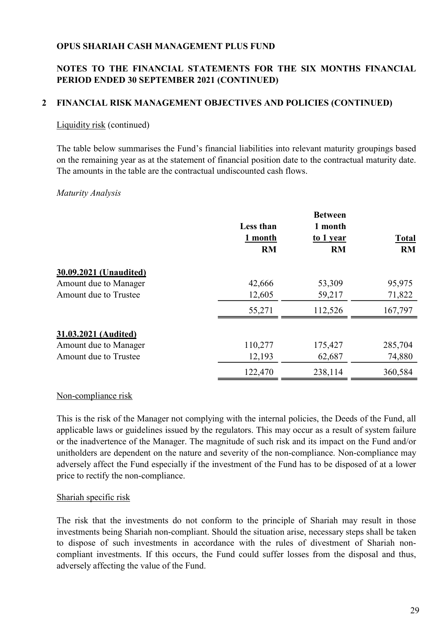## NOTES TO THE FINANCIAL STATEMENTS FOR THE SIX MONTHS FINANCIAL PERIOD ENDED 30 SEPTEMBER 2021 (CONTINUED)

## 2 FINANCIAL RISK MANAGEMENT OBJECTIVES AND POLICIES (CONTINUED)

#### Liquidity risk (continued)

The table below summarises the Fund's financial liabilities into relevant maturity groupings based on the remaining year as at the statement of financial position date to the contractual maturity date. The amounts in the table are the contractual undiscounted cash flows.

#### Maturity Analysis

|                        | <b>Less than</b><br>1 month<br><b>RM</b> | <b>Between</b><br>1 month<br>to 1 year<br><b>RM</b> | <b>Total</b><br><b>RM</b> |
|------------------------|------------------------------------------|-----------------------------------------------------|---------------------------|
| 30.09.2021 (Unaudited) |                                          |                                                     |                           |
| Amount due to Manager  | 42,666                                   | 53,309                                              | 95,975                    |
| Amount due to Trustee  | 12,605                                   | 59,217                                              | 71,822                    |
|                        | 55,271                                   | 112,526                                             | 167,797                   |
| 31.03.2021 (Audited)   |                                          |                                                     |                           |
| Amount due to Manager  | 110,277                                  | 175,427                                             | 285,704                   |
| Amount due to Trustee  | 12,193                                   | 62,687                                              | 74,880                    |
|                        | 122,470                                  | 238,114                                             | 360,584                   |

#### Non-compliance risk

This is the risk of the Manager not complying with the internal policies, the Deeds of the Fund, all applicable laws or guidelines issued by the regulators. This may occur as a result of system failure or the inadvertence of the Manager. The magnitude of such risk and its impact on the Fund and/or unitholders are dependent on the nature and severity of the non-compliance. Non-compliance may adversely affect the Fund especially if the investment of the Fund has to be disposed of at a lower price to rectify the non-compliance.

#### Shariah specific risk

The risk that the investments do not conform to the principle of Shariah may result in those investments being Shariah non-compliant. Should the situation arise, necessary steps shall be taken to dispose of such investments in accordance with the rules of divestment of Shariah noncompliant investments. If this occurs, the Fund could suffer losses from the disposal and thus, adversely affecting the value of the Fund.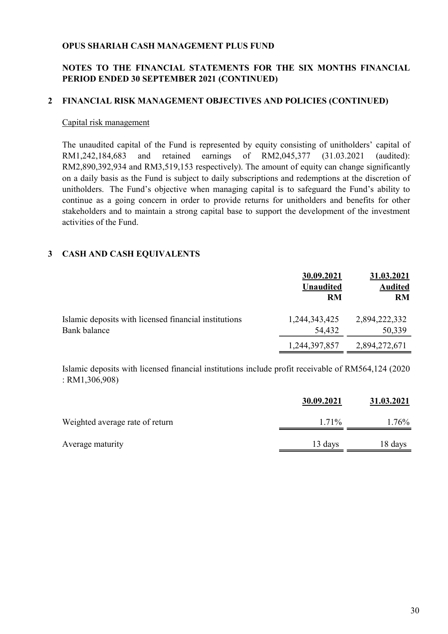#### NOTES TO THE FINANCIAL STATEMENTS FOR THE SIX MONTHS FINANCIAL PERIOD ENDED 30 SEPTEMBER 2021 (CONTINUED)

#### 2 FINANCIAL RISK MANAGEMENT OBJECTIVES AND POLICIES (CONTINUED)

#### Capital risk management

The unaudited capital of the Fund is represented by equity consisting of unitholders' capital of RM1,242,184,683 and retained earnings of RM2,045,377 (31.03.2021 (audited): RM2,890,392,934 and RM3,519,153 respectively). The amount of equity can change significantly on a daily basis as the Fund is subject to daily subscriptions and redemptions at the discretion of unitholders. The Fund's objective when managing capital is to safeguard the Fund's ability to continue as a going concern in order to provide returns for unitholders and benefits for other stakeholders and to maintain a strong capital base to support the development of the investment activities of the Fund.

#### 3 CASH AND CASH EQUIVALENTS

|                                                                       | 30.09.2021<br><b>Unaudited</b><br><b>RM</b> | 31.03.2021<br><b>Audited</b><br><b>RM</b> |
|-----------------------------------------------------------------------|---------------------------------------------|-------------------------------------------|
| Islamic deposits with licensed financial institutions<br>Bank balance | 1,244,343,425<br>54,432                     | 2,894,222,332<br>50,339                   |
|                                                                       | 1,244,397,857                               | 2,894,272,671                             |

Islamic deposits with licensed financial institutions include profit receivable of RM564,124 (2020 : RM1,306,908)

|                                 | 30.09.2021 | 31.03.2021 |
|---------------------------------|------------|------------|
| Weighted average rate of return | 1.71%      | 1.76%      |
| Average maturity                | 13 days    | 18 days    |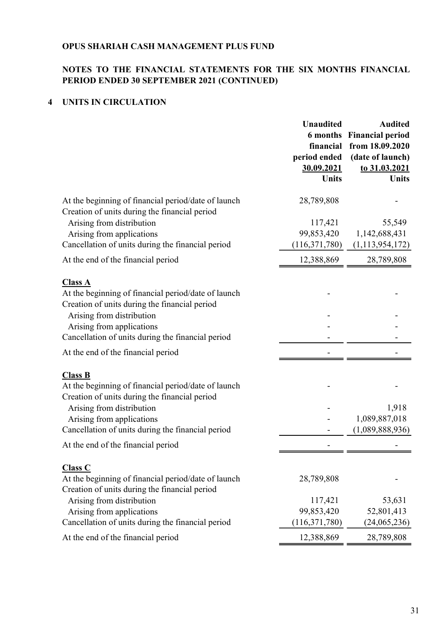### NOTES TO THE FINANCIAL STATEMENTS FOR THE SIX MONTHS FINANCIAL PERIOD ENDED 30 SEPTEMBER 2021 (CONTINUED)

## 4 UNITS IN CIRCULATION

| <b>Unaudited</b><br>financial<br>period ended<br>30.09.2021 | <b>Audited</b><br><b>6 months</b> Financial period<br>from 18.09.2020<br>(date of launch)<br>to 31.03.2021<br><b>Units</b> |
|-------------------------------------------------------------|----------------------------------------------------------------------------------------------------------------------------|
|                                                             |                                                                                                                            |
|                                                             |                                                                                                                            |
| 117,421                                                     | 55,549                                                                                                                     |
| 99,853,420                                                  | 1,142,688,431                                                                                                              |
| (116, 371, 780)                                             | (1, 113, 954, 172)                                                                                                         |
| 12,388,869                                                  | 28,789,808                                                                                                                 |
|                                                             |                                                                                                                            |
|                                                             |                                                                                                                            |
|                                                             |                                                                                                                            |
|                                                             |                                                                                                                            |
|                                                             |                                                                                                                            |
|                                                             |                                                                                                                            |
|                                                             |                                                                                                                            |
|                                                             |                                                                                                                            |
|                                                             |                                                                                                                            |
|                                                             |                                                                                                                            |
|                                                             | 1,918<br>1,089,887,018                                                                                                     |
|                                                             | (1,089,888,936)                                                                                                            |
|                                                             |                                                                                                                            |
|                                                             |                                                                                                                            |
|                                                             |                                                                                                                            |
| 28,789,808                                                  |                                                                                                                            |
|                                                             | 53,631                                                                                                                     |
| 99,853,420                                                  | 52,801,413                                                                                                                 |
| (116,371,780)                                               | (24,065,236)                                                                                                               |
| 12,388,869                                                  | 28,789,808                                                                                                                 |
|                                                             | <b>Units</b><br>28,789,808<br>117,421                                                                                      |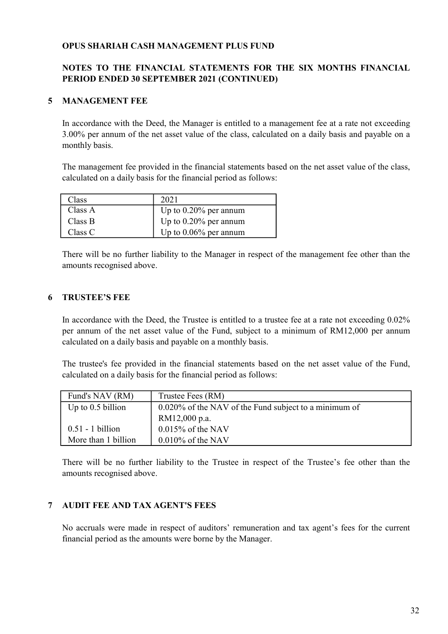#### NOTES TO THE FINANCIAL STATEMENTS FOR THE SIX MONTHS FINANCIAL PERIOD ENDED 30 SEPTEMBER 2021 (CONTINUED)

#### 5 MANAGEMENT FEE

In accordance with the Deed, the Manager is entitled to a management fee at a rate not exceeding 3.00% per annum of the net asset value of the class, calculated on a daily basis and payable on a monthly basis.

The management fee provided in the financial statements based on the net asset value of the class, calculated on a daily basis for the financial period as follows:

| Class   | 2021                     |
|---------|--------------------------|
| Class A | Up to $0.20\%$ per annum |
| Class B | Up to $0.20\%$ per annum |
| Class C | Up to $0.06\%$ per annum |

There will be no further liability to the Manager in respect of the management fee other than the amounts recognised above.

#### 6 TRUSTEE'S FEE

In accordance with the Deed, the Trustee is entitled to a trustee fee at a rate not exceeding 0.02% per annum of the net asset value of the Fund, subject to a minimum of RM12,000 per annum calculated on a daily basis and payable on a monthly basis.

The trustee's fee provided in the financial statements based on the net asset value of the Fund, calculated on a daily basis for the financial period as follows:

| Fund's NAV (RM)     | Trustee Fees (RM)                                     |
|---------------------|-------------------------------------------------------|
| Up to $0.5$ billion | 0.020% of the NAV of the Fund subject to a minimum of |
|                     | RM12,000 p.a.                                         |
| $0.51 - 1$ billion  | $0.015\%$ of the NAV                                  |
| More than 1 billion | $0.010\%$ of the NAV                                  |

There will be no further liability to the Trustee in respect of the Trustee's fee other than the amounts recognised above.

#### 7 AUDIT FEE AND TAX AGENT'S FEES

No accruals were made in respect of auditors' remuneration and tax agent's fees for the current financial period as the amounts were borne by the Manager.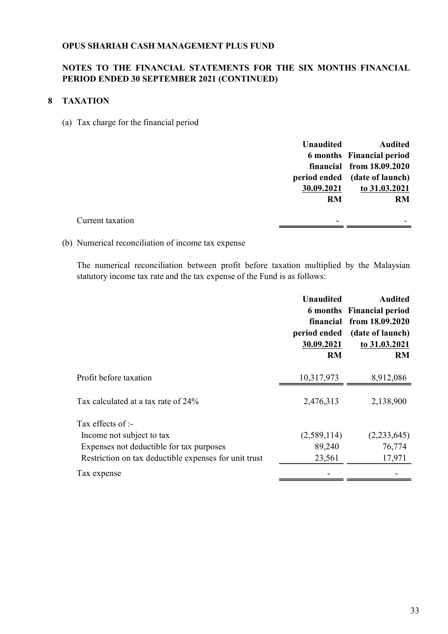#### NOTES TO THE FINANCIAL STATEMENTS FOR THE SIX MONTHS FINANCIAL PERIOD ENDED 30 SEPTEMBER 2021 (CONTINUED)

#### 8 TAXATION

(a) Tax charge for the financial period

| <b>Unaudited</b>                             | <b>Audited</b>                |
|----------------------------------------------|-------------------------------|
|                                              | 6 months Financial period     |
|                                              | financial from 18.09.2020     |
|                                              | period ended (date of launch) |
| 30.09.2021                                   | to 31.03.2021                 |
| <b>RM</b>                                    | <b>RM</b>                     |
|                                              |                               |
| Current taxation<br>$\overline{\phantom{a}}$ |                               |

(b) Numerical reconciliation of income tax expense

The numerical reconciliation between profit before taxation multiplied by the Malaysian statutory income tax rate and the tax expense of the Fund is as follows:

|                                                       | <b>Unaudited</b><br>period ended<br>30.09.2021<br><b>RM</b> | <b>Audited</b><br>6 months Financial period<br>financial from 18.09.2020<br>(date of launch)<br>to 31.03.2021<br>RM |
|-------------------------------------------------------|-------------------------------------------------------------|---------------------------------------------------------------------------------------------------------------------|
| Profit before taxation                                | 10,317,973                                                  | 8,912,086                                                                                                           |
| Tax calculated at a tax rate of 24%                   | 2,476,313                                                   | 2,138,900                                                                                                           |
| Tax effects of :-                                     |                                                             |                                                                                                                     |
| Income not subject to tax                             | (2,589,114)                                                 | (2,233,645)                                                                                                         |
| Expenses not deductible for tax purposes              | 89,240                                                      | 76,774                                                                                                              |
| Restriction on tax deductible expenses for unit trust | 23,561                                                      | 17,971                                                                                                              |
| Tax expense                                           |                                                             |                                                                                                                     |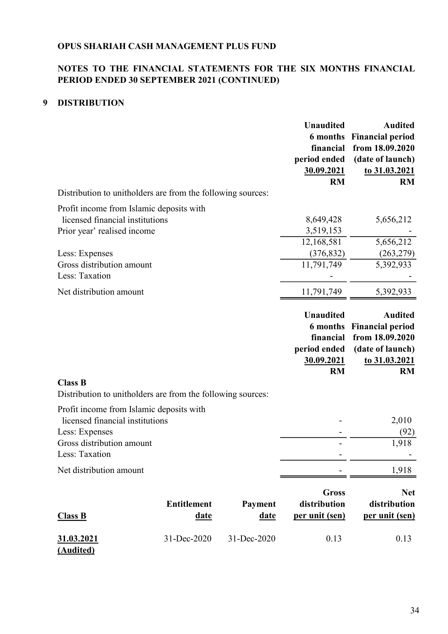## NOTES TO THE FINANCIAL STATEMENTS FOR THE SIX MONTHS FINANCIAL PERIOD ENDED 30 SEPTEMBER 2021 (CONTINUED)

## 9 DISTRIBUTION

|                                                                               |                    |             | <b>Unaudited</b> | <b>Audited</b>          |
|-------------------------------------------------------------------------------|--------------------|-------------|------------------|-------------------------|
|                                                                               |                    |             | <b>6</b> months  | <b>Financial period</b> |
|                                                                               |                    |             | financial        | from 18.09.2020         |
|                                                                               |                    |             | period ended     | (date of launch)        |
|                                                                               |                    |             | 30.09.2021       | to 31.03.2021           |
|                                                                               |                    |             | <b>RM</b>        | <b>RM</b>               |
| Distribution to unitholders are from the following sources:                   |                    |             |                  |                         |
| Profit income from Islamic deposits with                                      |                    |             |                  |                         |
| licensed financial institutions                                               |                    |             | 8,649,428        | 5,656,212               |
| Prior year' realised income                                                   |                    |             | 3,519,153        |                         |
|                                                                               |                    |             | 12,168,581       | 5,656,212               |
| Less: Expenses                                                                |                    |             | (376, 832)       | (263, 279)              |
| Gross distribution amount                                                     |                    |             | 11,791,749       | 5,392,933               |
| Less: Taxation                                                                |                    |             |                  |                         |
| Net distribution amount                                                       |                    |             | 11,791,749       | 5,392,933               |
|                                                                               |                    |             |                  |                         |
|                                                                               |                    |             | <b>Unaudited</b> | <b>Audited</b>          |
|                                                                               |                    |             | <b>6</b> months  | <b>Financial period</b> |
|                                                                               |                    |             | financial        | from 18.09.2020         |
|                                                                               |                    |             | period ended     | (date of launch)        |
|                                                                               |                    |             | 30.09.2021       | to 31.03.2021           |
|                                                                               |                    |             | <b>RM</b>        | <b>RM</b>               |
| <b>Class B</b><br>Distribution to unitholders are from the following sources: |                    |             |                  |                         |
| Profit income from Islamic deposits with                                      |                    |             |                  |                         |
| licensed financial institutions                                               |                    |             |                  | 2,010                   |
| Less: Expenses                                                                |                    |             |                  | (92)                    |
| Gross distribution amount                                                     |                    |             |                  |                         |
| Less: Taxation                                                                |                    |             |                  |                         |
| Net distribution amount                                                       |                    |             |                  | 1,918                   |
|                                                                               |                    |             |                  |                         |
|                                                                               |                    |             | <b>Gross</b>     | <b>Net</b>              |
|                                                                               | <b>Entitlement</b> | Payment     | distribution     | distribution            |
| Class B                                                                       | <u>date</u>        | date        | per unit (sen)   | per unit (sen)          |
| <u>31.03.2021</u><br><u>(Audited)</u>                                         | 31-Dec-2020        | 31-Dec-2020 | 0.13             | 0.13                    |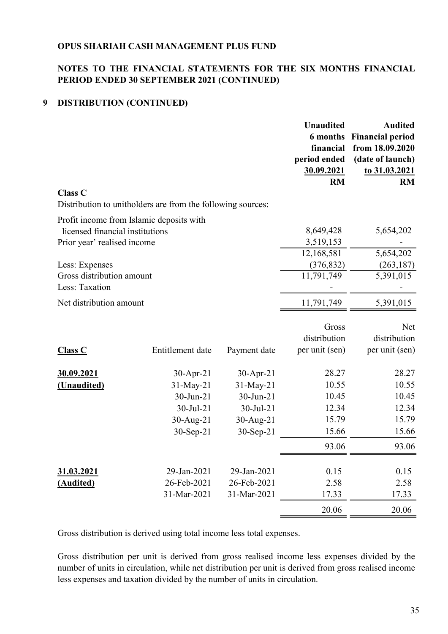## NOTES TO THE FINANCIAL STATEMENTS FOR THE SIX MONTHS FINANCIAL PERIOD ENDED 30 SEPTEMBER 2021 (CONTINUED)

## 9 DISTRIBUTION (CONTINUED)

|                                                             |                  |              | <b>Unaudited</b> | <b>Audited</b>          |
|-------------------------------------------------------------|------------------|--------------|------------------|-------------------------|
|                                                             |                  |              | <b>6</b> months  | <b>Financial period</b> |
|                                                             |                  |              | financial        | from 18.09.2020         |
|                                                             |                  |              | period ended     | (date of launch)        |
|                                                             |                  |              | 30.09.2021       | to 31.03.2021           |
|                                                             |                  |              | <b>RM</b>        | <b>RM</b>               |
| <b>Class C</b>                                              |                  |              |                  |                         |
| Distribution to unitholders are from the following sources: |                  |              |                  |                         |
| Profit income from Islamic deposits with                    |                  |              |                  |                         |
| licensed financial institutions                             |                  |              | 8,649,428        | 5,654,202               |
| Prior year' realised income                                 |                  |              | 3,519,153        |                         |
|                                                             |                  |              | 12,168,581       | 5,654,202               |
| Less: Expenses                                              |                  |              | (376, 832)       | (263, 187)              |
| Gross distribution amount                                   |                  |              | 11,791,749       | 5,391,015               |
| Less: Taxation                                              |                  |              |                  |                         |
| Net distribution amount                                     |                  |              | 11,791,749       | 5,391,015               |
|                                                             |                  |              | Gross            | Net                     |
|                                                             |                  |              | distribution     | distribution            |
| <b>Class C</b>                                              | Entitlement date | Payment date | per unit (sen)   | per unit (sen)          |
|                                                             |                  |              |                  |                         |
| 30.09.2021                                                  | $30-Apr-21$      | 30-Apr-21    | 28.27            | 28.27                   |
| (Unaudited)                                                 | 31-May-21        | 31-May-21    | 10.55            | 10.55                   |
|                                                             | 30-Jun-21        | 30-Jun-21    | 10.45            | 10.45                   |
|                                                             | 30-Jul-21        | 30-Jul-21    | 12.34            | 12.34                   |
|                                                             | $30-Aug-21$      | $30-Aug-21$  | 15.79            | 15.79                   |
|                                                             | 30-Sep-21        | $30-Sep-21$  | 15.66            | 15.66                   |
|                                                             |                  |              | 93.06            | 93.06                   |
| 31.03.2021                                                  | 29-Jan-2021      | 29-Jan-2021  | 0.15             | 0.15                    |
| (Audited)                                                   | 26-Feb-2021      | 26-Feb-2021  | 2.58             | 2.58                    |
|                                                             | 31-Mar-2021      | 31-Mar-2021  | 17.33            | 17.33                   |
|                                                             |                  |              | 20.06            | 20.06                   |
|                                                             |                  |              |                  |                         |

Gross distribution is derived using total income less total expenses.

Gross distribution per unit is derived from gross realised income less expenses divided by the number of units in circulation, while net distribution per unit is derived from gross realised income less expenses and taxation divided by the number of units in circulation.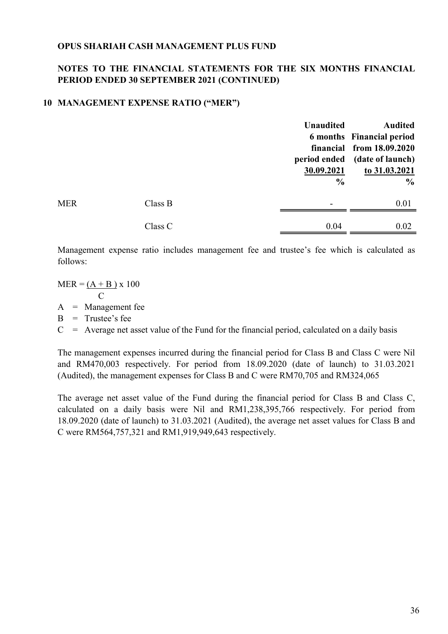## NOTES TO THE FINANCIAL STATEMENTS FOR THE SIX MONTHS FINANCIAL PERIOD ENDED 30 SEPTEMBER 2021 (CONTINUED)

#### 10 MANAGEMENT EXPENSE RATIO ("MER")

|            |         | <b>Unaudited</b> | <b>Audited</b>                   |
|------------|---------|------------------|----------------------------------|
|            |         |                  | <b>6 months</b> Financial period |
|            |         |                  | financial from 18.09.2020        |
|            |         | period ended     | (date of launch)                 |
|            |         | 30.09.2021       | to 31.03.2021                    |
|            |         | $\frac{0}{0}$    | $\frac{6}{6}$                    |
| <b>MER</b> | Class B |                  | 0.01                             |
|            | Class C | 0.04             | 0.02                             |

Management expense ratio includes management fee and trustee's fee which is calculated as follows:

 $MER = (A + B) \times 100$  C  $A =$ Management fee  $B =$ Trustee's fee

 $C =$  Average net asset value of the Fund for the financial period, calculated on a daily basis

The management expenses incurred during the financial period for Class B and Class C were Nil and RM470,003 respectively. For period from 18.09.2020 (date of launch) to 31.03.2021 (Audited), the management expenses for Class B and C were RM70,705 and RM324,065

The average net asset value of the Fund during the financial period for Class B and Class C, calculated on a daily basis were Nil and RM1,238,395,766 respectively. For period from 18.09.2020 (date of launch) to 31.03.2021 (Audited), the average net asset values for Class B and C were RM564,757,321 and RM1,919,949,643 respectively.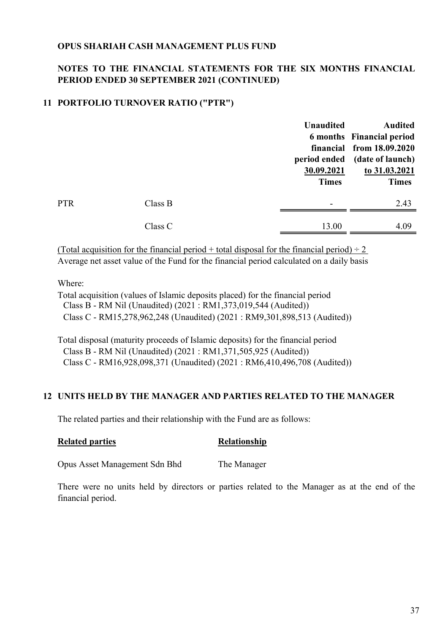### NOTES TO THE FINANCIAL STATEMENTS FOR THE SIX MONTHS FINANCIAL PERIOD ENDED 30 SEPTEMBER 2021 (CONTINUED)

## 11 PORTFOLIO TURNOVER RATIO ("PTR")

|            |         | <b>Unaudited</b> | <b>Audited</b>                |
|------------|---------|------------------|-------------------------------|
|            |         |                  | 6 months Financial period     |
|            |         |                  | financial from 18.09.2020     |
|            |         |                  | period ended (date of launch) |
|            |         | 30.09.2021       | to 31.03.2021                 |
|            |         | <b>Times</b>     | <b>Times</b>                  |
| <b>PTR</b> | Class B |                  | 2.43                          |
|            | Class C | 13.00            | 4.09                          |
|            |         |                  |                               |

(Total acquisition for the financial period + total disposal for the financial period)  $\div 2$ Average net asset value of the Fund for the financial period calculated on a daily basis

#### Where:

Total acquisition (values of Islamic deposits placed) for the financial period Class B - RM Nil (Unaudited) (2021 : RM1,373,019,544 (Audited)) Class C - RM15,278,962,248 (Unaudited) (2021 : RM9,301,898,513 (Audited))

Total disposal (maturity proceeds of Islamic deposits) for the financial period Class B - RM Nil (Unaudited) (2021 : RM1,371,505,925 (Audited)) Class C - RM16,928,098,371 (Unaudited) (2021 : RM6,410,496,708 (Audited))

#### 12 UNITS HELD BY THE MANAGER AND PARTIES RELATED TO THE MANAGER

The related parties and their relationship with the Fund are as follows:

#### Related parties Relationship

Opus Asset Management Sdn Bhd The Manager

There were no units held by directors or parties related to the Manager as at the end of the financial period.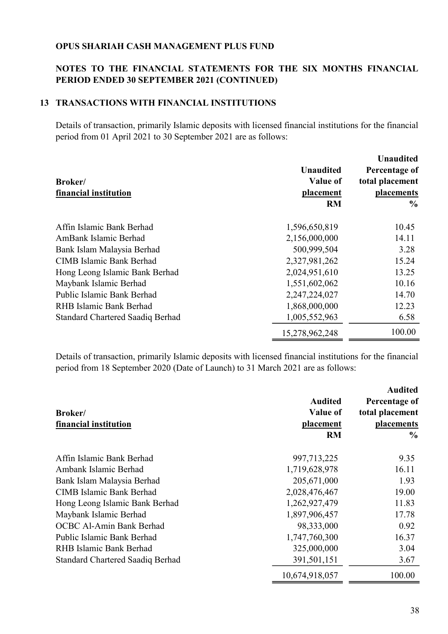### NOTES TO THE FINANCIAL STATEMENTS FOR THE SIX MONTHS FINANCIAL PERIOD ENDED 30 SEPTEMBER 2021 (CONTINUED)

#### 13 TRANSACTIONS WITH FINANCIAL INSTITUTIONS

Details of transaction, primarily Islamic deposits with licensed financial institutions for the financial period from 01 April 2021 to 30 September 2021 are as follows:

|                                  |                  | <b>Unaudited</b> |
|----------------------------------|------------------|------------------|
|                                  | <b>Unaudited</b> | Percentage of    |
| Broker/                          | Value of         | total placement  |
| financial institution            | placement        | placements       |
|                                  | <b>RM</b>        | $\frac{6}{9}$    |
| Affin Islamic Bank Berhad        | 1,596,650,819    | 10.45            |
| AmBank Islamic Berhad            | 2,156,000,000    | 14.11            |
| Bank Islam Malaysia Berhad       | 500,999,504      | 3.28             |
| <b>CIMB Islamic Bank Berhad</b>  | 2,327,981,262    | 15.24            |
| Hong Leong Islamic Bank Berhad   | 2,024,951,610    | 13.25            |
| Maybank Islamic Berhad           | 1,551,602,062    | 10.16            |
| Public Islamic Bank Berhad       | 2,247,224,027    | 14.70            |
| RHB Islamic Bank Berhad          | 1,868,000,000    | 12.23            |
| Standard Chartered Saadiq Berhad | 1,005,552,963    | 6.58             |
|                                  | 15,278,962,248   | 100.00           |

Details of transaction, primarily Islamic deposits with licensed financial institutions for the financial period from 18 September 2020 (Date of Launch) to 31 March 2021 are as follows:

|                                  |                 | <b>Audited</b>    |
|----------------------------------|-----------------|-------------------|
|                                  | <b>Audited</b>  | Percentage of     |
| Broker/                          | <b>Value of</b> | total placement   |
| financial institution            | placement       | <b>placements</b> |
|                                  | <b>RM</b>       | $\frac{6}{9}$     |
| Affin Islamic Bank Berhad        | 997,713,225     | 9.35              |
| Ambank Islamic Berhad            | 1,719,628,978   | 16.11             |
| Bank Islam Malaysia Berhad       | 205,671,000     | 1.93              |
| <b>CIMB Islamic Bank Berhad</b>  | 2,028,476,467   | 19.00             |
| Hong Leong Islamic Bank Berhad   | 1,262,927,479   | 11.83             |
| Maybank Islamic Berhad           | 1,897,906,457   | 17.78             |
| OCBC Al-Amin Bank Berhad         | 98,333,000      | 0.92              |
| Public Islamic Bank Berhad       | 1,747,760,300   | 16.37             |
| RHB Islamic Bank Berhad          | 325,000,000     | 3.04              |
| Standard Chartered Saadiq Berhad | 391,501,151     | 3.67              |
|                                  | 10,674,918,057  | 100.00            |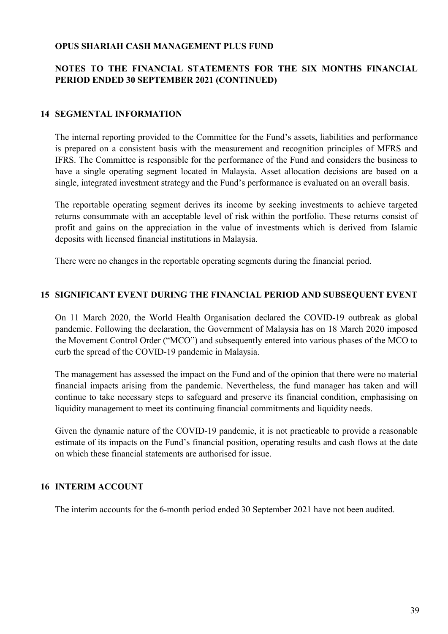## NOTES TO THE FINANCIAL STATEMENTS FOR THE SIX MONTHS FINANCIAL PERIOD ENDED 30 SEPTEMBER 2021 (CONTINUED)

#### 14 SEGMENTAL INFORMATION

The internal reporting provided to the Committee for the Fund's assets, liabilities and performance is prepared on a consistent basis with the measurement and recognition principles of MFRS and IFRS. The Committee is responsible for the performance of the Fund and considers the business to have a single operating segment located in Malaysia. Asset allocation decisions are based on a single, integrated investment strategy and the Fund's performance is evaluated on an overall basis.

The reportable operating segment derives its income by seeking investments to achieve targeted returns consummate with an acceptable level of risk within the portfolio. These returns consist of profit and gains on the appreciation in the value of investments which is derived from Islamic deposits with licensed financial institutions in Malaysia.

There were no changes in the reportable operating segments during the financial period.

#### 15 SIGNIFICANT EVENT DURING THE FINANCIAL PERIOD AND SUBSEQUENT EVENT

On 11 March 2020, the World Health Organisation declared the COVID-19 outbreak as global pandemic. Following the declaration, the Government of Malaysia has on 18 March 2020 imposed the Movement Control Order ("MCO") and subsequently entered into various phases of the MCO to curb the spread of the COVID-19 pandemic in Malaysia.

The management has assessed the impact on the Fund and of the opinion that there were no material financial impacts arising from the pandemic. Nevertheless, the fund manager has taken and will continue to take necessary steps to safeguard and preserve its financial condition, emphasising on liquidity management to meet its continuing financial commitments and liquidity needs.

Given the dynamic nature of the COVID-19 pandemic, it is not practicable to provide a reasonable estimate of its impacts on the Fund's financial position, operating results and cash flows at the date on which these financial statements are authorised for issue.

#### 16 INTERIM ACCOUNT

The interim accounts for the 6-month period ended 30 September 2021 have not been audited.